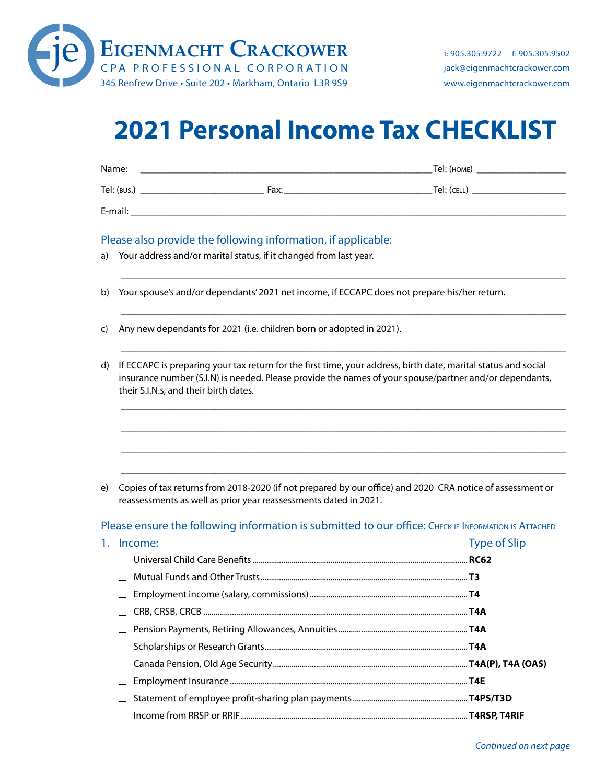

### **2021 Personal Income Tax CHECKLIST**

| Name:       |      | Tel: (HOME) |
|-------------|------|-------------|
| Tel: (BUS.) | Fax: | Tel: (CELL) |
| E-mail:     |      |             |

\_\_\_\_\_\_\_\_\_\_\_\_\_\_\_\_\_\_\_\_\_\_\_\_\_\_\_\_\_\_\_\_\_\_\_\_\_\_\_\_\_\_\_\_\_\_\_\_\_\_\_\_\_\_\_\_\_\_\_\_\_\_\_\_\_\_\_\_\_\_\_\_\_\_\_\_\_\_\_\_\_\_\_\_\_\_\_\_\_\_

\_\_\_\_\_\_\_\_\_\_\_\_\_\_\_\_\_\_\_\_\_\_\_\_\_\_\_\_\_\_\_\_\_\_\_\_\_\_\_\_\_\_\_\_\_\_\_\_\_\_\_\_\_\_\_\_\_\_\_\_\_\_\_\_\_\_\_\_\_\_\_\_\_\_\_\_\_\_\_\_\_\_\_\_\_\_\_\_\_\_

\_\_\_\_\_\_\_\_\_\_\_\_\_\_\_\_\_\_\_\_\_\_\_\_\_\_\_\_\_\_\_\_\_\_\_\_\_\_\_\_\_\_\_\_\_\_\_\_\_\_\_\_\_\_\_\_\_\_\_\_\_\_\_\_\_\_\_\_\_\_\_\_\_\_\_\_\_\_\_\_\_\_\_\_\_\_\_\_\_\_

\_\_\_\_\_\_\_\_\_\_\_\_\_\_\_\_\_\_\_\_\_\_\_\_\_\_\_\_\_\_\_\_\_\_\_\_\_\_\_\_\_\_\_\_\_\_\_\_\_\_\_\_\_\_\_\_\_\_\_\_\_\_\_\_\_\_\_\_\_\_\_\_\_\_\_\_\_\_\_\_\_\_\_\_\_\_\_\_\_\_

\_\_\_\_\_\_\_\_\_\_\_\_\_\_\_\_\_\_\_\_\_\_\_\_\_\_\_\_\_\_\_\_\_\_\_\_\_\_\_\_\_\_\_\_\_\_\_\_\_\_\_\_\_\_\_\_\_\_\_\_\_\_\_\_\_\_\_\_\_\_\_\_\_\_\_\_\_\_\_\_\_\_\_\_\_\_\_\_\_\_

\_\_\_\_\_\_\_\_\_\_\_\_\_\_\_\_\_\_\_\_\_\_\_\_\_\_\_\_\_\_\_\_\_\_\_\_\_\_\_\_\_\_\_\_\_\_\_\_\_\_\_\_\_\_\_\_\_\_\_\_\_\_\_\_\_\_\_\_\_\_\_\_\_\_\_\_\_\_\_\_\_\_\_\_\_\_\_\_\_\_

\_\_\_\_\_\_\_\_\_\_\_\_\_\_\_\_\_\_\_\_\_\_\_\_\_\_\_\_\_\_\_\_\_\_\_\_\_\_\_\_\_\_\_\_\_\_\_\_\_\_\_\_\_\_\_\_\_\_\_\_\_\_\_\_\_\_\_\_\_\_\_\_\_\_\_\_\_\_\_\_\_\_\_\_\_\_\_\_\_\_

#### Please also provide the following information, if applicable:

|  | a) Your address and/or marital status, if it changed from last year. |  |
|--|----------------------------------------------------------------------|--|
|  |                                                                      |  |

- b) Your spouse's and/or dependants' 2021 net income, if ECCAPC does not prepare his/her return.
- c) Any new dependants for 2021 (i.e. children born or adop c) Any new dependants for 2021 (i.e. children born or adopted in 2021).
	- d) If ECCAPC is preparing your tax return for the first time, your address, birth date, marital status and social insurance number (S.I.N) is needed. Please provide the names of your spouse/partner and/or dependants, their S.I.N.s, and their birth dates.

e) Copies of tax returns from 2018-2020 (if not prepared by our office) and 2020 CRA notice of assessment or reassessments as well as prior year reassessments dated in 2021.

Please ensure the following information is submitted to our office: CHECK IF INFORMATION IS ATTACHED

| $1_{\cdot}$ | Income: | <b>Type of Slip</b> |
|-------------|---------|---------------------|
|             |         |                     |
|             |         |                     |
|             |         |                     |
|             |         |                     |
|             |         |                     |
|             |         |                     |
|             |         |                     |
|             |         |                     |
|             |         |                     |
|             |         |                     |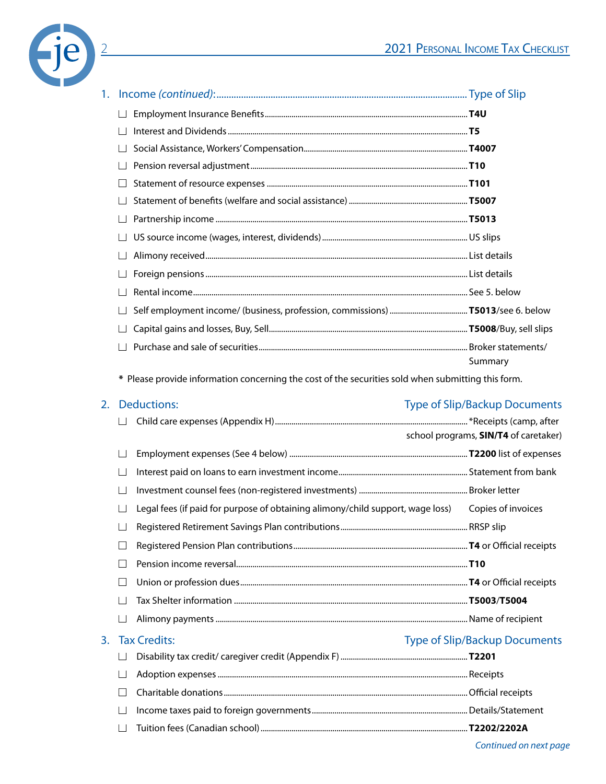

| 1. |                                                                                                    |         |
|----|----------------------------------------------------------------------------------------------------|---------|
|    |                                                                                                    |         |
|    |                                                                                                    |         |
|    |                                                                                                    |         |
|    |                                                                                                    |         |
|    |                                                                                                    |         |
|    |                                                                                                    |         |
|    |                                                                                                    |         |
|    |                                                                                                    |         |
|    |                                                                                                    |         |
|    |                                                                                                    |         |
|    |                                                                                                    |         |
|    |                                                                                                    |         |
|    |                                                                                                    |         |
|    |                                                                                                    |         |
|    |                                                                                                    | Summary |
|    | * Please provide information concerning the cost of the securities sold when submitting this form. |         |

#### 2. Deductions: Type of Slip/Backup Documents

|  |                                                                                | school programs, <b>SIN/T4</b> of caretaker) |
|--|--------------------------------------------------------------------------------|----------------------------------------------|
|  |                                                                                |                                              |
|  |                                                                                |                                              |
|  |                                                                                |                                              |
|  | Legal fees (if paid for purpose of obtaining alimony/child support, wage loss) | Copies of invoices                           |
|  |                                                                                |                                              |
|  |                                                                                |                                              |
|  |                                                                                |                                              |
|  |                                                                                |                                              |
|  |                                                                                |                                              |
|  |                                                                                |                                              |
|  |                                                                                |                                              |

#### 3. Tax Credits: Type of Slip/Backup Documents

| $\overline{\phantom{a}}$ |  |
|--------------------------|--|
| $\mathbf{I}$             |  |
| $\vert \ \ \vert$        |  |
| $\mathbf{I}$             |  |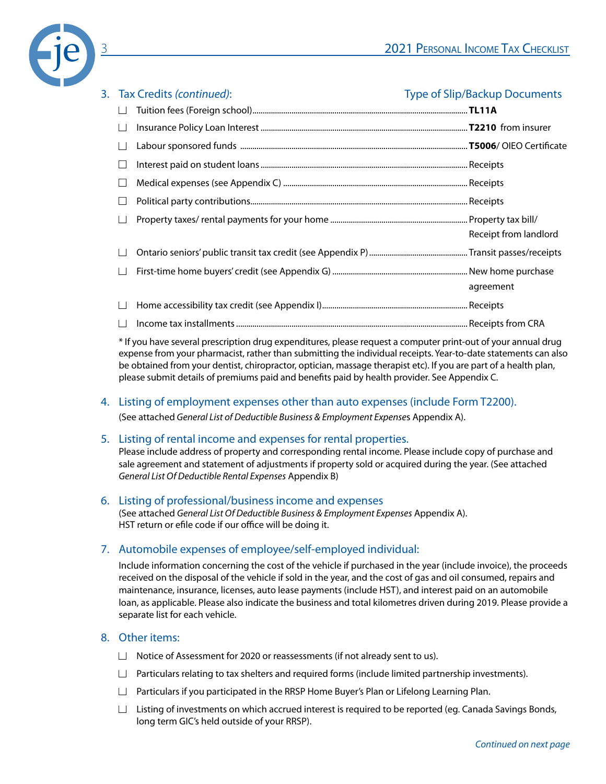

| 3. Tax Credits (continued): | <b>Type of Slip/Backup Documents</b> |
|-----------------------------|--------------------------------------|
|                             |                                      |
|                             |                                      |
|                             |                                      |
|                             |                                      |
|                             |                                      |
|                             |                                      |
|                             |                                      |
|                             | Receipt from landlord                |
|                             |                                      |
|                             |                                      |
|                             | agreement                            |
|                             |                                      |
|                             |                                      |

\* If you have several prescription drug expenditures, please request a computer print-out of your annual drug expense from your pharmacist, rather than submitting the individual receipts. Year-to-date statements can also be obtained from your dentist, chiropractor, optician, massage therapist etc). If you are part of a health plan, please submit details of premiums paid and benefits paid by health provider. See Appendix C.

#### 4. Listing of employment expenses other than auto expenses (include Form T2200).

(See attached *General List of Deductible Business & Employment Expense*s Appendix A).

#### 5. Listing of rental income and expenses for rental properties.

Please include address of property and corresponding rental income. Please include copy of purchase and sale agreement and statement of adjustments if property sold or acquired during the year. (See attached *General List Of Deductible Rental Expenses* Appendix B)

### 6. Listing of professional/business income and expenses

(See attached *General List Of Deductible Business & Employment Expenses* Appendix A). HST return or efile code if our office will be doing it.

#### 7. Automobile expenses of employee/self-employed individual:

Include information concerning the cost of the vehicle if purchased in the year (include invoice), the proceeds received on the disposal of the vehicle if sold in the year, and the cost of gas and oil consumed, repairs and maintenance, insurance, licenses, auto lease payments (include HST), and interest paid on an automobile loan, as applicable. Please also indicate the business and total kilometres driven during 2019. Please provide a separate list for each vehicle.

#### 8. Other items:

- $\Box$  Notice of Assessment for 2020 or reassessments (if not already sent to us).
- $\Box$  Particulars relating to tax shelters and required forms (include limited partnership investments).
- $\Box$  Particulars if you participated in the RRSP Home Buyer's Plan or Lifelong Learning Plan.
- $\Box$  Listing of investments on which accrued interest is required to be reported (eq. Canada Savings Bonds, long term GIC's held outside of your RRSP).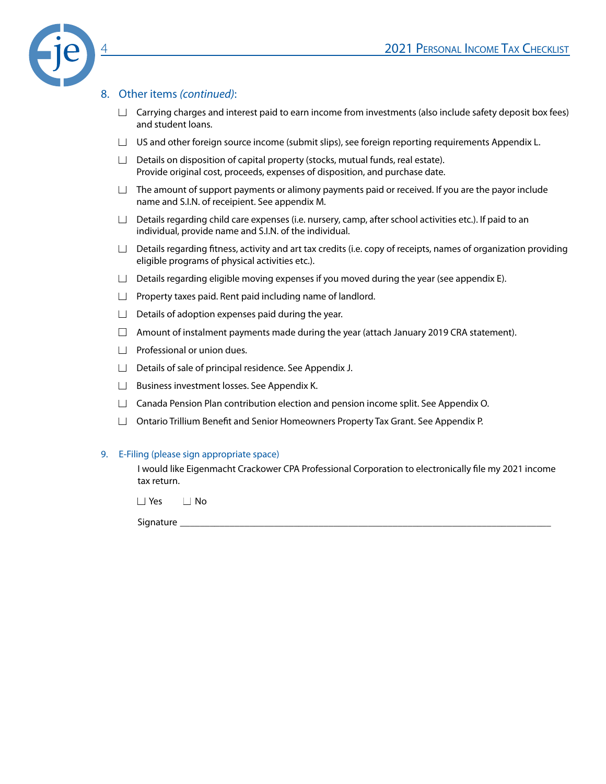

#### 8. Other items *(continued)*:

- $\Box$  Carrying charges and interest paid to earn income from investments (also include safety deposit box fees) and student loans.
- $\Box$  US and other foreign source income (submit slips), see foreign reporting requirements Appendix L.
- $\Box$  Details on disposition of capital property (stocks, mutual funds, real estate). Provide original cost, proceeds, expenses of disposition, and purchase date.
- $\Box$  The amount of support payments or alimony payments paid or received. If you are the payor include name and S.I.N. of receipient. See appendix M.
- $\Box$  Details regarding child care expenses (i.e. nursery, camp, after school activities etc.). If paid to an individual, provide name and S.I.N. of the individual.
- $\Box$  Details regarding fitness, activity and art tax credits (i.e. copy of receipts, names of organization providing eligible programs of physical activities etc.).
- $\Box$  Details regarding eligible moving expenses if you moved during the year (see appendix E).
- $\Box$  Property taxes paid. Rent paid including name of landlord.
- $\Box$  Details of adoption expenses paid during the year.
- $\Box$  Amount of instalment payments made during the year (attach January 2019 CRA statement).
- $\Box$  Professional or union dues.
- $\Box$  Details of sale of principal residence. See Appendix J.
- □ Business investment losses. See Appendix K.
- $\Box$  Canada Pension Plan contribution election and pension income split. See Appendix O.
- $\Box$  Ontario Trillium Benefit and Senior Homeowners Property Tax Grant. See Appendix P.

#### 9. E-Filing (please sign appropriate space)

I would like Eigenmacht Crackower CPA Professional Corporation to electronically file my 2021 income tax return.

■ Yes ■ No

Signature \_\_\_\_\_\_\_\_\_\_\_\_\_\_\_\_\_\_\_\_\_\_\_\_\_\_\_\_\_\_\_\_\_\_\_\_\_\_\_\_\_\_\_\_\_\_\_\_\_\_\_\_\_\_\_\_\_\_\_\_\_\_\_\_\_\_\_\_\_\_\_\_\_\_\_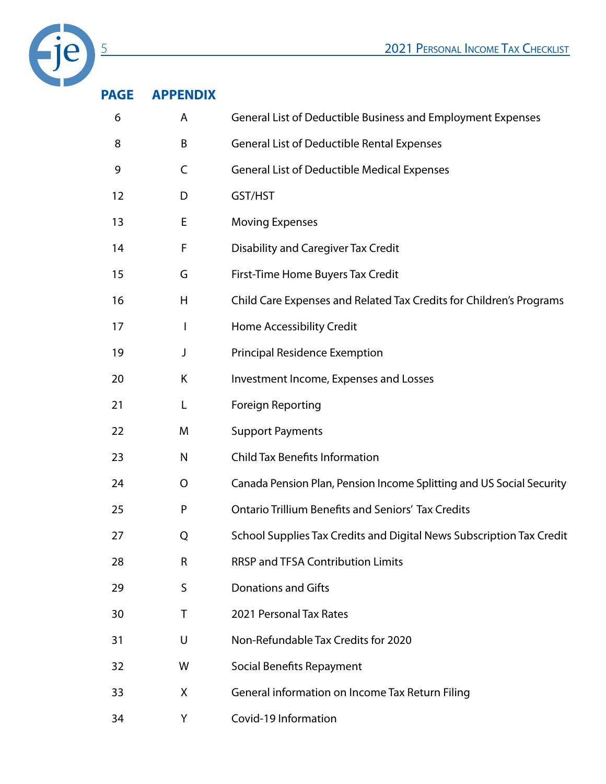

### **PAGE APPENDIX**

| 6  | A            | General List of Deductible Business and Employment Expenses          |
|----|--------------|----------------------------------------------------------------------|
| 8  | B            | <b>General List of Deductible Rental Expenses</b>                    |
| 9  | C            | <b>General List of Deductible Medical Expenses</b>                   |
| 12 | D            | GST/HST                                                              |
| 13 | E            | <b>Moving Expenses</b>                                               |
| 14 | F            | <b>Disability and Caregiver Tax Credit</b>                           |
| 15 | G            | First-Time Home Buyers Tax Credit                                    |
| 16 | Н            | Child Care Expenses and Related Tax Credits for Children's Programs  |
| 17 | I            | Home Accessibility Credit                                            |
| 19 | J            | <b>Principal Residence Exemption</b>                                 |
| 20 | Κ            | Investment Income, Expenses and Losses                               |
| 21 | L            | <b>Foreign Reporting</b>                                             |
| 22 | M            | <b>Support Payments</b>                                              |
| 23 | $\mathsf{N}$ | <b>Child Tax Benefits Information</b>                                |
| 24 | O            | Canada Pension Plan, Pension Income Splitting and US Social Security |
| 25 | P            | <b>Ontario Trillium Benefits and Seniors' Tax Credits</b>            |
| 27 | Q            | School Supplies Tax Credits and Digital News Subscription Tax Credit |
| 28 | R            | <b>RRSP and TFSA Contribution Limits</b>                             |
| 29 | S            | <b>Donations and Gifts</b>                                           |
| 30 | Τ            | 2021 Personal Tax Rates                                              |
| 31 | U            | Non-Refundable Tax Credits for 2020                                  |
| 32 | W            | Social Benefits Repayment                                            |
| 33 | X            | General information on Income Tax Return Filing                      |
| 34 | Υ            | Covid-19 Information                                                 |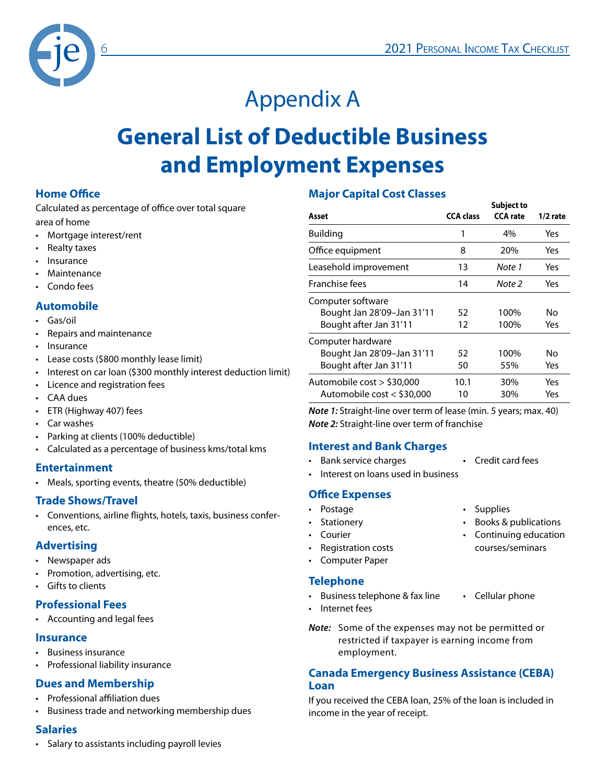

## Appendix A

### **General List of Deductible Business and Employment Expenses**

#### **Home Office**

Calculated as percentage of office over total square area of home

- Mortgage interest/rent
- Realty taxes
- **Insurance**
- **Maintenance**
- Condo fees

#### **Automobile**

- Gas/oil
- Repairs and maintenance
- Insurance
- Lease costs (\$800 monthly lease limit)
- Interest on car loan (\$300 monthly interest deduction limit)
- Licence and registration fees
- CAA dues
- ETR (Highway 407) fees
- Car washes
- Parking at clients (100% deductible)
- Calculated as a percentage of business kms/total kms

#### **Entertainment**

• Meals, sporting events, theatre (50% deductible)

#### **Trade Shows/Travel**

• Conventions, airline flights, hotels, taxis, business conferences, etc.

#### **Advertising**

- Newspaper ads
- Promotion, advertising, etc.
- Gifts to clients

#### **Professional Fees**

• Accounting and legal fees

#### **Insurance**

- Business insurance
- Professional liability insurance

#### **Dues and Membership**

- Professional affiliation dues
- Business trade and networking membership dues

#### **Salaries**

• Salary to assistants including payroll levies

#### **Major Capital Cost Classes**

| Asset                                                                     | <b>CCA class</b> | <b>Subject to</b><br><b>CCA</b> rate | $1/2$ rate |
|---------------------------------------------------------------------------|------------------|--------------------------------------|------------|
| Building                                                                  | 1                | 4%                                   | Yes        |
| Office equipment                                                          | 8                | 20%                                  | Yes        |
| Leasehold improvement                                                     | 13               | Note 1                               | Yes        |
| Franchise fees                                                            | 14               | Note 2                               | Yes        |
| Computer software<br>Bought Jan 28'09-Jan 31'11<br>Bought after Jan 31'11 | 52<br>12         | 100%<br>100%                         | N٥<br>Yes  |
| Computer hardware<br>Bought Jan 28'09-Jan 31'11<br>Bought after Jan 31'11 | 52<br>50         | 100%<br>55%                          | N٥<br>Yes  |
| Automobile cost > \$30,000<br>Automobile cost < \$30,000                  | 10.1<br>10       | 30%<br>30%                           | Yes<br>Yes |

*Note 1:* Straight-line over term of lease (min. 5 years; max. 40) *Note 2:* Straight-line over term of franchise

#### **Interest and Bank Charges**

- Bank service charges Credit card fees
- 
- Interest on loans used in business

#### **Office Expenses**

- 
- 
- 
- Registration costs courses/seminars
- Computer Paper

#### **Telephone**

- Business telephone & fax line Cellular phone
- Internet fees
- *Note:* Some of the expenses may not be permitted or restricted if taxpayer is earning income from employment.

#### **Canada Emergency Business Assistance (CEBA) Loan**

If you received the CEBA loan, 25% of the loan is included in income in the year of receipt.

- Postage **•** Supplies
- Stationery Books & publications
- Courier Continuing education
	-
	-
	-
- -
	-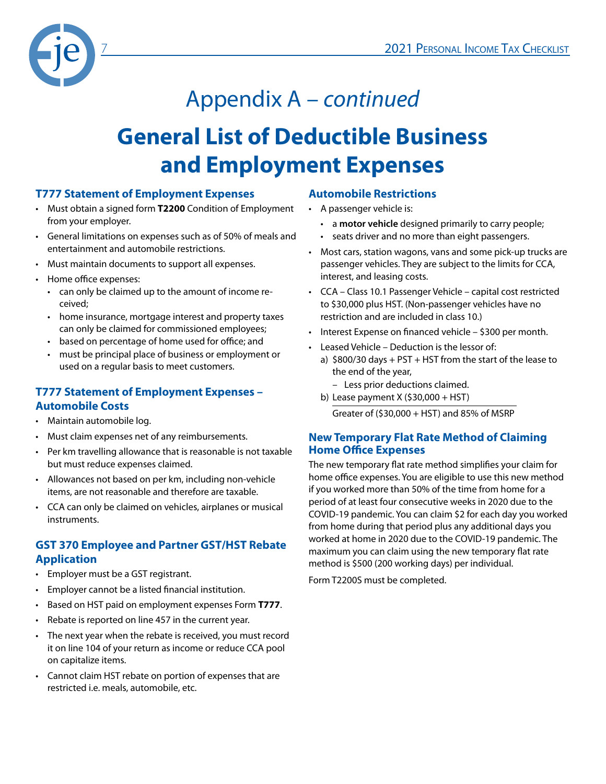

# Appendix A – *continued*

### **General List of Deductible Business and Employment Expenses**

#### **T777 Statement of Employment Expenses**

- Must obtain a signed form **T2200** Condition of Employment from your employer.
- General limitations on expenses such as of 50% of meals and entertainment and automobile restrictions.
- Must maintain documents to support all expenses.
- Home office expenses:
	- can only be claimed up to the amount of income received;
	- home insurance, mortgage interest and property taxes can only be claimed for commissioned employees;
	- based on percentage of home used for office; and
	- must be principal place of business or employment or used on a regular basis to meet customers.

#### **T777 Statement of Employment Expenses – Automobile Costs**

- Maintain automobile log.
- Must claim expenses net of any reimbursements.
- Per km travelling allowance that is reasonable is not taxable but must reduce expenses claimed.
- Allowances not based on per km, including non-vehicle items, are not reasonable and therefore are taxable.
- CCA can only be claimed on vehicles, airplanes or musical instruments.

#### **GST 370 Employee and Partner GST/HST Rebate Application**

- Employer must be a GST registrant.
- Employer cannot be a listed financial institution.
- Based on HST paid on employment expenses Form **T777**.
- Rebate is reported on line 457 in the current year.
- The next year when the rebate is received, you must record it on line 104 of your return as income or reduce CCA pool on capitalize items.
- Cannot claim HST rebate on portion of expenses that are restricted i.e. meals, automobile, etc.

#### **Automobile Restrictions**

- A passenger vehicle is:
	- a **motor vehicle** designed primarily to carry people;
	- seats driver and no more than eight passengers.
- Most cars, station wagons, vans and some pick-up trucks are passenger vehicles. They are subject to the limits for CCA, interest, and leasing costs.
- CCA Class 10.1 Passenger Vehicle capital cost restricted to \$30,000 plus HST. (Non-passenger vehicles have no restriction and are included in class 10.)
- Interest Expense on financed vehicle \$300 per month.
- Leased Vehicle Deduction is the lessor of:
	- a)  $$800/30$  days + PST + HST from the start of the lease to the end of the year,
		- Less prior deductions claimed.
	- b) Lease payment X (\$30,000 + HST)

Greater of  $(530,000 + HST)$  and 85% of MSRP

#### **New Temporary Flat Rate Method of Claiming Home Office Expenses**

The new temporary flat rate method simplifies your claim for home office expenses. You are eligible to use this new method if you worked more than 50% of the time from home for a period of at least four consecutive weeks in 2020 due to the COVID-19 pandemic. You can claim \$2 for each day you worked from home during that period plus any additional days you worked at home in 2020 due to the COVID-19 pandemic. The maximum you can claim using the new temporary flat rate method is \$500 (200 working days) per individual.

Form T2200S must be completed.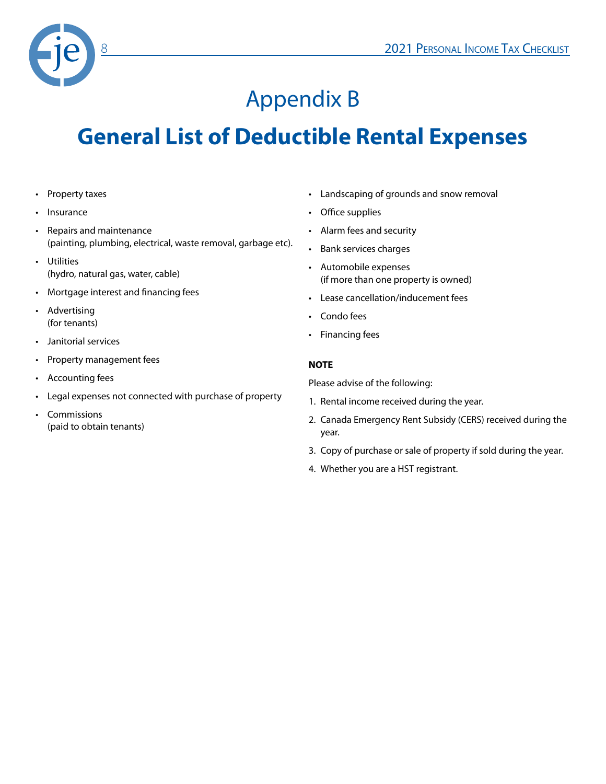

### Appendix B

### **General List of Deductible Rental Expenses**

- Property taxes
- **Insurance**
- Repairs and maintenance (painting, plumbing, electrical, waste removal, garbage etc).
- Utilities (hydro, natural gas, water, cable)
- Mortgage interest and financing fees
- Advertising (for tenants)
- Janitorial services
- Property management fees
- Accounting fees
- Legal expenses not connected with purchase of property
- Commissions (paid to obtain tenants)
- Landscaping of grounds and snow removal
- Office supplies
- Alarm fees and security
- Bank services charges
- Automobile expenses (if more than one property is owned)
- Lease cancellation/inducement fees
- Condo fees
- Financing fees

#### **NOTE**

Please advise of the following:

- 1. Rental income received during the year.
- 2. Canada Emergency Rent Subsidy (CERS) received during the year.
- 3. Copy of purchase or sale of property if sold during the year.
- 4. Whether you are a HST registrant.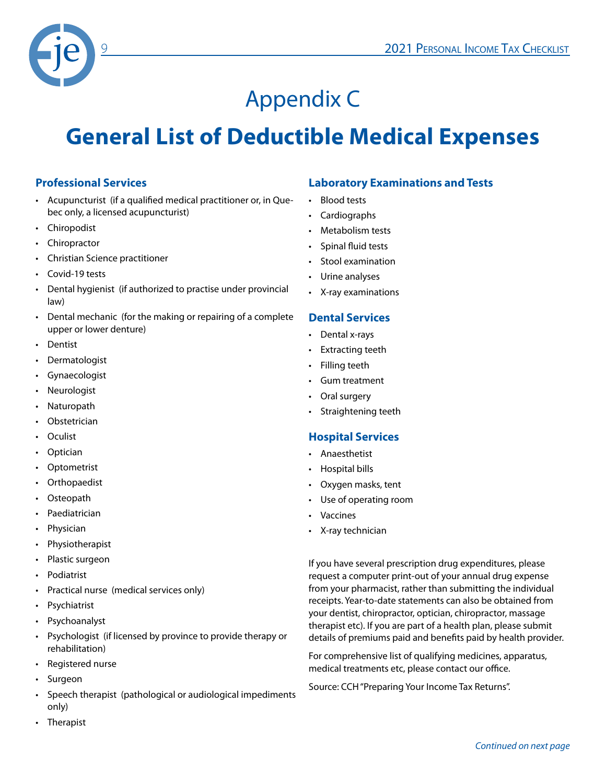

## Appendix C

### **General List of Deductible Medical Expenses**

#### **Professional Services**

- Acupuncturist (if a qualified medical practitioner or, in Quebec only, a licensed acupuncturist)
- Chiropodist
- **Chiropractor**
- Christian Science practitioner
- Covid-19 tests
- Dental hygienist (if authorized to practise under provincial law)
- Dental mechanic (for the making or repairing of a complete upper or lower denture)
- Dentist
- **Dermatologist**
- **Gynaecologist**
- **Neurologist**
- **Naturopath**
- Obstetrician
- Oculist
- **Optician**
- **Optometrist**
- **Orthopaedist**
- Osteopath
- **Paediatrician**
- Physician
- **Physiotherapist**
- Plastic surgeon
- Podiatrist
- Practical nurse (medical services only)
- **Psychiatrist**
- Psychoanalyst
- Psychologist (if licensed by province to provide therapy or rehabilitation)
- Registered nurse
- **Surgeon**
- Speech therapist (pathological or audiological impediments only)
- Therapist

#### **Laboratory Examinations and Tests**

- Blood tests
- Cardiographs
- Metabolism tests
- Spinal fluid tests
- Stool examination
- Urine analyses
- X-ray examinations

#### **Dental Services**

- Dental x-rays
- **Extracting teeth**
- Filling teeth
- Gum treatment
- Oral surgery
- Straightening teeth

#### **Hospital Services**

- Anaesthetist
- Hospital bills
- Oxygen masks, tent
- Use of operating room
- **Vaccines**
- X-ray technician

If you have several prescription drug expenditures, please request a computer print-out of your annual drug expense from your pharmacist, rather than submitting the individual receipts. Year-to-date statements can also be obtained from your dentist, chiropractor, optician, chiropractor, massage therapist etc). If you are part of a health plan, please submit details of premiums paid and benefits paid by health provider.

For comprehensive list of qualifying medicines, apparatus, medical treatments etc, please contact our office.

Source: CCH "Preparing Your Income Tax Returns".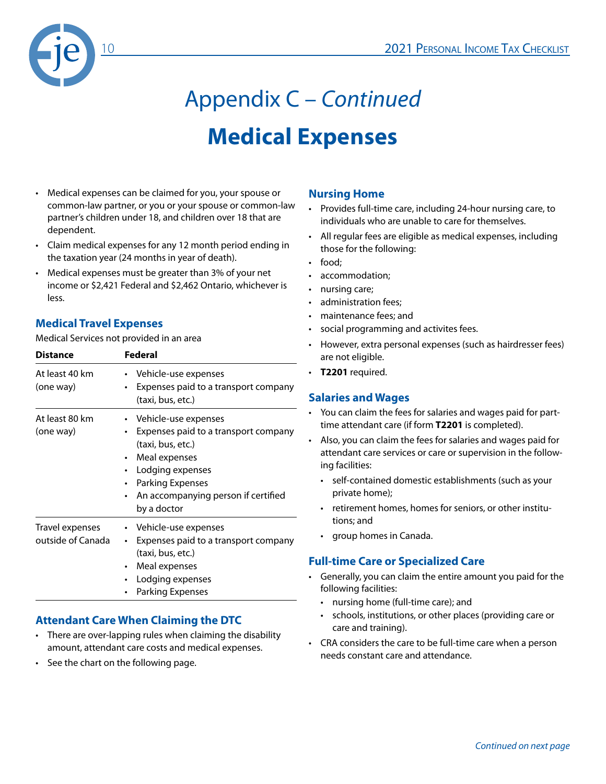

# Appendix C – *Continued* **Medical Expenses**

- Medical expenses can be claimed for you, your spouse or common-law partner, or you or your spouse or common-law partner's children under 18, and children over 18 that are dependent.
- Claim medical expenses for any 12 month period ending in the taxation year (24 months in year of death).
- Medical expenses must be greater than 3% of your net income or \$2,421 Federal and \$2,462 Ontario, whichever is less.

#### **Medical Travel Expenses**

Medical Services not provided in an area

| <b>Distance</b>                      | Federal                                                                                                                                                                                                                                            |
|--------------------------------------|----------------------------------------------------------------------------------------------------------------------------------------------------------------------------------------------------------------------------------------------------|
| At least 40 km<br>(one way)          | Vehicle-use expenses<br>$\bullet$<br>Expenses paid to a transport company<br>(taxi, bus, etc.)                                                                                                                                                     |
| At least 80 km<br>(one way)          | • Vehicle-use expenses<br>Expenses paid to a transport company<br>٠<br>(taxi, bus, etc.)<br>Meal expenses<br>$\bullet$<br>Lodging expenses<br>٠<br><b>Parking Expenses</b><br>$\bullet$<br>An accompanying person if certified<br>٠<br>by a doctor |
| Travel expenses<br>outside of Canada | • Vehicle-use expenses<br>Expenses paid to a transport company<br>٠<br>(taxi, bus, etc.)<br>Meal expenses<br>$\bullet$<br>Lodging expenses<br>Parking Expenses                                                                                     |

#### **Attendant Care When Claiming the DTC**

- There are over-lapping rules when claiming the disability amount, attendant care costs and medical expenses.
- See the chart on the following page.

#### **Nursing Home**

- Provides full-time care, including 24-hour nursing care, to individuals who are unable to care for themselves.
- All regular fees are eligible as medical expenses, including those for the following:
- food;
- accommodation;
- nursing care;
- administration fees;
- maintenance fees; and
- social programming and activites fees.
- However, extra personal expenses (such as hairdresser fees) are not eligible.
- **T2201** required.

#### **Salaries and Wages**

- You can claim the fees for salaries and wages paid for parttime attendant care (if form **T2201** is completed).
- Also, you can claim the fees for salaries and wages paid for attendant care services or care or supervision in the following facilities:
	- self-contained domestic establishments (such as your private home);
	- retirement homes, homes for seniors, or other institutions; and
	- group homes in Canada.

#### **Full-time Care or Specialized Care**

- Generally, you can claim the entire amount you paid for the following facilities:
	- nursing home (full-time care); and
	- schools, institutions, or other places (providing care or care and training).
- CRA considers the care to be full-time care when a person needs constant care and attendance.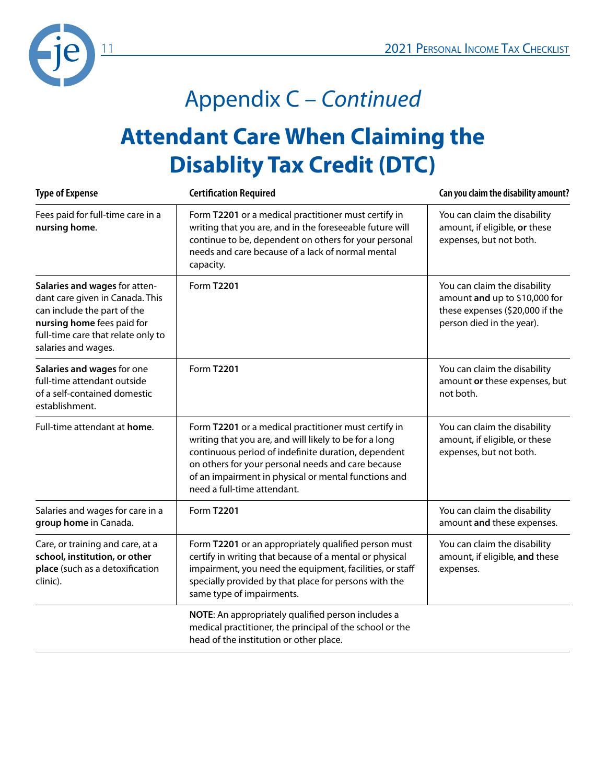

# Appendix C – *Continued*

### **Attendant Care When Claiming the Disablity Tax Credit (DTC)**

| <b>Type of Expense</b>                                                                                                                                                                     | <b>Certification Required</b>                                                                                                                                                                                                                                                                                      | Can you claim the disability amount?                                                                                          |
|--------------------------------------------------------------------------------------------------------------------------------------------------------------------------------------------|--------------------------------------------------------------------------------------------------------------------------------------------------------------------------------------------------------------------------------------------------------------------------------------------------------------------|-------------------------------------------------------------------------------------------------------------------------------|
| Fees paid for full-time care in a<br>nursing home.                                                                                                                                         | Form T2201 or a medical practitioner must certify in<br>writing that you are, and in the foreseeable future will<br>continue to be, dependent on others for your personal<br>needs and care because of a lack of normal mental<br>capacity.                                                                        | You can claim the disability<br>amount, if eligible, or these<br>expenses, but not both.                                      |
| Salaries and wages for atten-<br>dant care given in Canada. This<br>can include the part of the<br>nursing home fees paid for<br>full-time care that relate only to<br>salaries and wages. | <b>Form T2201</b>                                                                                                                                                                                                                                                                                                  | You can claim the disability<br>amount and up to \$10,000 for<br>these expenses (\$20,000 if the<br>person died in the year). |
| Salaries and wages for one<br>full-time attendant outside<br>of a self-contained domestic<br>establishment.                                                                                | <b>Form T2201</b>                                                                                                                                                                                                                                                                                                  | You can claim the disability<br>amount or these expenses, but<br>not both.                                                    |
| Full-time attendant at home.                                                                                                                                                               | Form T2201 or a medical practitioner must certify in<br>writing that you are, and will likely to be for a long<br>continuous period of indefinite duration, dependent<br>on others for your personal needs and care because<br>of an impairment in physical or mental functions and<br>need a full-time attendant. | You can claim the disability<br>amount, if eligible, or these<br>expenses, but not both.                                      |
| Salaries and wages for care in a<br>group home in Canada.                                                                                                                                  | <b>Form T2201</b>                                                                                                                                                                                                                                                                                                  | You can claim the disability<br>amount and these expenses.                                                                    |
| Care, or training and care, at a<br>school, institution, or other<br>place (such as a detoxification<br>clinic).                                                                           | Form T2201 or an appropriately qualified person must<br>certify in writing that because of a mental or physical<br>impairment, you need the equipment, facilities, or staff<br>specially provided by that place for persons with the<br>same type of impairments.                                                  | You can claim the disability<br>amount, if eligible, and these<br>expenses.                                                   |
|                                                                                                                                                                                            | NOTE: An appropriately qualified person includes a<br>medical practitioner, the principal of the school or the<br>head of the institution or other place.                                                                                                                                                          |                                                                                                                               |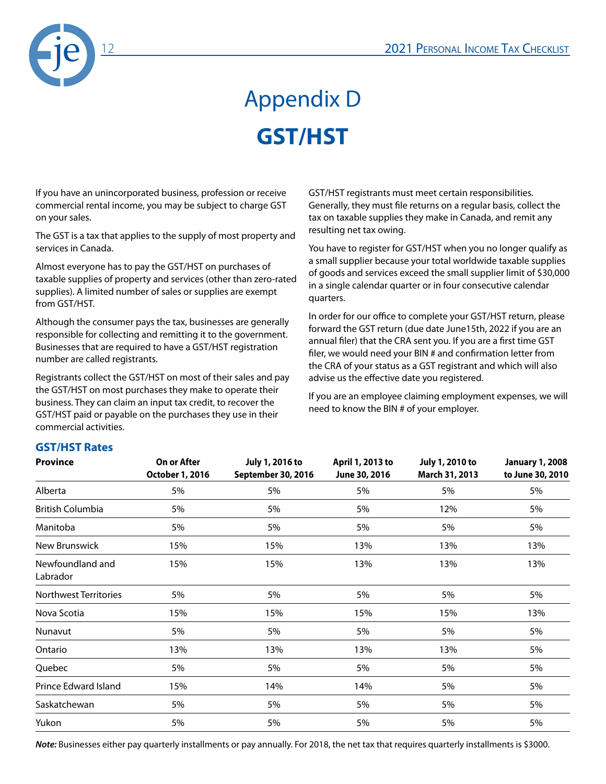

# Appendix D **GST/HST**

If you have an unincorporated business, profession or receive commercial rental income, you may be subject to charge GST on your sales.

The GST is a tax that applies to the supply of most property and services in Canada.

Almost everyone has to pay the GST/HST on purchases of taxable supplies of property and services (other than zero-rated supplies). A limited number of sales or supplies are exempt from GST/HST.

Although the consumer pays the tax, businesses are generally responsible for collecting and remitting it to the government. Businesses that are required to have a GST/HST registration number are called registrants.

Registrants collect the GST/HST on most of their sales and pay the GST/HST on most purchases they make to operate their business. They can claim an input tax credit, to recover the GST/HST paid or payable on the purchases they use in their commercial activities.

GST/HST registrants must meet certain responsibilities. Generally, they must file returns on a regular basis, collect the tax on taxable supplies they make in Canada, and remit any resulting net tax owing.

You have to register for GST/HST when you no longer qualify as a small supplier because your total worldwide taxable supplies of goods and services exceed the small supplier limit of \$30,000 in a single calendar quarter or in four consecutive calendar quarters.

In order for our office to complete your GST/HST return, please forward the GST return (due date June15th, 2022 if you are an annual filer) that the CRA sent you. If you are a first time GST filer, we would need your BIN # and confirmation letter from the CRA of your status as a GST registrant and which will also advise us the effective date you registered.

If you are an employee claiming employment expenses, we will need to know the BIN # of your employer.

### **GST/HST Rates**

| <b>Province</b>              | On or After<br>October 1, 2016 | July 1, 2016 to<br>September 30, 2016 | April 1, 2013 to<br>June 30, 2016 | July 1, 2010 to<br>March 31, 2013 | <b>January 1, 2008</b><br>to June 30, 2010 |
|------------------------------|--------------------------------|---------------------------------------|-----------------------------------|-----------------------------------|--------------------------------------------|
| Alberta                      | 5%                             | 5%                                    | 5%                                | 5%                                | 5%                                         |
| <b>British Columbia</b>      | 5%                             | 5%                                    | 5%                                | 12%                               | 5%                                         |
| Manitoba                     | 5%                             | 5%                                    | 5%                                | 5%                                | 5%                                         |
| New Brunswick                | 15%                            | 15%                                   | 13%                               | 13%                               | 13%                                        |
| Newfoundland and<br>Labrador | 15%                            | 15%                                   | 13%                               | 13%                               | 13%                                        |
| <b>Northwest Territories</b> | 5%                             | 5%                                    | 5%                                | 5%                                | 5%                                         |
| Nova Scotia                  | 15%                            | 15%                                   | 15%                               | 15%                               | 13%                                        |
| Nunavut                      | 5%                             | 5%                                    | 5%                                | 5%                                | 5%                                         |
| Ontario                      | 13%                            | 13%                                   | 13%                               | 13%                               | 5%                                         |
| Quebec                       | 5%                             | 5%                                    | 5%                                | 5%                                | 5%                                         |
| Prince Edward Island         | 15%                            | 14%                                   | 14%                               | 5%                                | 5%                                         |
| Saskatchewan                 | 5%                             | 5%                                    | 5%                                | 5%                                | 5%                                         |
| Yukon                        | 5%                             | 5%                                    | 5%                                | 5%                                | 5%                                         |

*Note:* Businesses either pay quarterly installments or pay annually. For 2018, the net tax that requires quarterly installments is \$3000.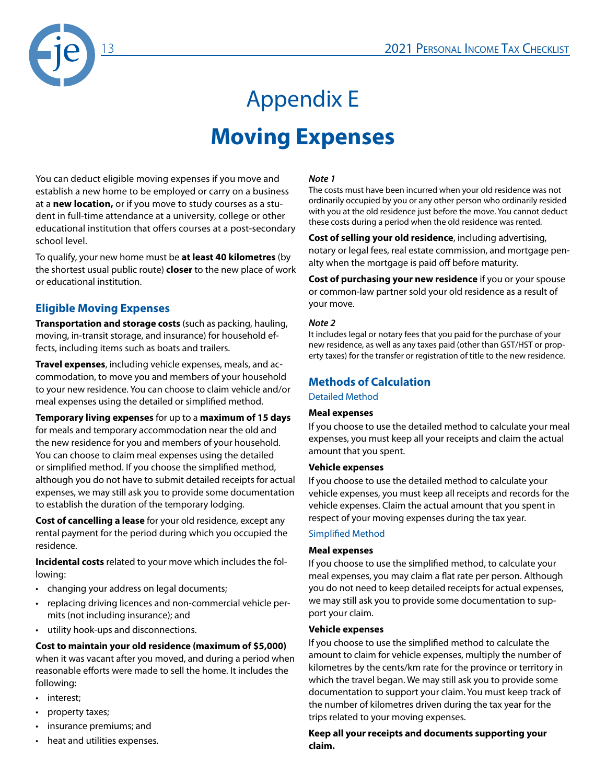

# Appendix E **Moving Expenses**

You can deduct eligible moving expenses if you move and establish a new home to be employed or carry on a business at a **new location,** or if you move to study courses as a student in full-time attendance at a university, college or other educational institution that offers courses at a post-secondary school level.

To qualify, your new home must be **at least 40 kilometres** (by the shortest usual public route) **closer** to the new place of work or educational institution.

#### **Eligible Moving Expenses**

**Transportation and storage costs** (such as packing, hauling, moving, in-transit storage, and insurance) for household effects, including items such as boats and trailers.

**Travel expenses**, including vehicle expenses, meals, and accommodation, to move you and members of your household to your new residence. You can choose to claim vehicle and/or meal expenses using the detailed or simplified method.

**Temporary living expenses** for up to a **maximum of 15 days**

for meals and temporary accommodation near the old and the new residence for you and members of your household. You can choose to claim meal expenses using the detailed or simplified method. If you choose the simplified method, although you do not have to submit detailed receipts for actual expenses, we may still ask you to provide some documentation to establish the duration of the temporary lodging.

**Cost of cancelling a lease** for your old residence, except any rental payment for the period during which you occupied the residence.

**Incidental costs** related to your move which includes the following:

- changing your address on legal documents;
- replacing driving licences and non-commercial vehicle permits (not including insurance); and
- utility hook-ups and disconnections.

**Cost to maintain your old residence (maximum of \$5,000)** when it was vacant after you moved, and during a period when reasonable efforts were made to sell the home. It includes the following:

- interest;
- property taxes;
- insurance premiums; and
- heat and utilities expenses.

#### *Note 1*

The costs must have been incurred when your old residence was not ordinarily occupied by you or any other person who ordinarily resided with you at the old residence just before the move. You cannot deduct these costs during a period when the old residence was rented.

**Cost of selling your old residence**, including advertising, notary or legal fees, real estate commission, and mortgage penalty when the mortgage is paid off before maturity.

**Cost of purchasing your new residence** if you or your spouse or common-law partner sold your old residence as a result of your move.

#### *Note 2*

It includes legal or notary fees that you paid for the purchase of your new residence, as well as any taxes paid (other than GST/HST or property taxes) for the transfer or registration of title to the new residence.

#### **Methods of Calculation**

Detailed Method

#### **Meal expenses**

If you choose to use the detailed method to calculate your meal expenses, you must keep all your receipts and claim the actual amount that you spent.

#### **Vehicle expenses**

If you choose to use the detailed method to calculate your vehicle expenses, you must keep all receipts and records for the vehicle expenses. Claim the actual amount that you spent in respect of your moving expenses during the tax year.

#### Simplified Method

#### **Meal expenses**

If you choose to use the simplified method, to calculate your meal expenses, you may claim a flat rate per person. Although you do not need to keep detailed receipts for actual expenses, we may still ask you to provide some documentation to support your claim.

#### **Vehicle expenses**

If you choose to use the simplified method to calculate the amount to claim for vehicle expenses, multiply the number of kilometres by the cents/km rate for the province or territory in which the travel began. We may still ask you to provide some documentation to support your claim. You must keep track of the number of kilometres driven during the tax year for the trips related to your moving expenses.

**Keep all your receipts and documents supporting your claim.**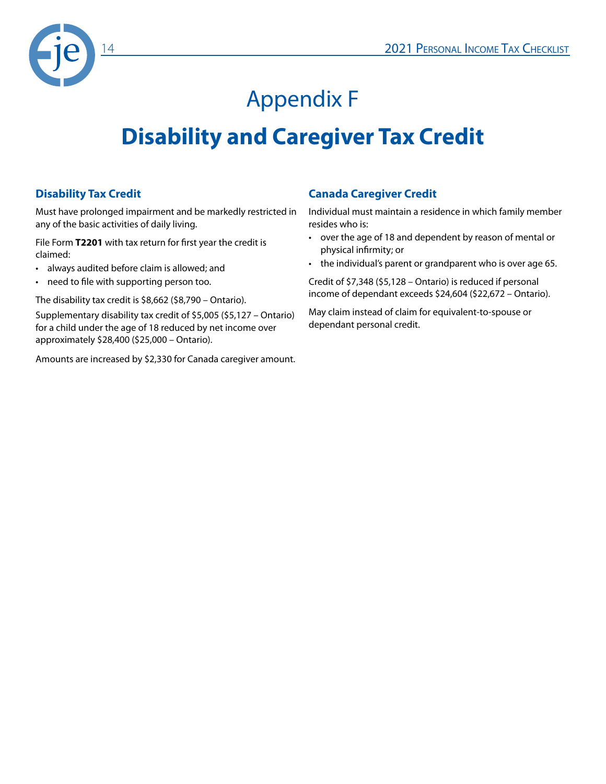

## Appendix F

### **Disability and Caregiver Tax Credit**

#### **Disability Tax Credit**

Must have prolonged impairment and be markedly restricted in any of the basic activities of daily living.

File Form **T2201** with tax return for first year the credit is claimed:

- always audited before claim is allowed; and
- need to file with supporting person too.

The disability tax credit is \$8,662 (\$8,790 – Ontario).

Supplementary disability tax credit of \$5,005 (\$5,127 – Ontario) for a child under the age of 18 reduced by net income over approximately \$28,400 (\$25,000 – Ontario).

Amounts are increased by \$2,330 for Canada caregiver amount.

#### **Canada Caregiver Credit**

Individual must maintain a residence in which family member resides who is:

- over the age of 18 and dependent by reason of mental or physical infirmity; or
- the individual's parent or grandparent who is over age 65.

Credit of \$7,348 (\$5,128 – Ontario) is reduced if personal income of dependant exceeds \$24,604 (\$22,672 – Ontario).

May claim instead of claim for equivalent-to-spouse or dependant personal credit.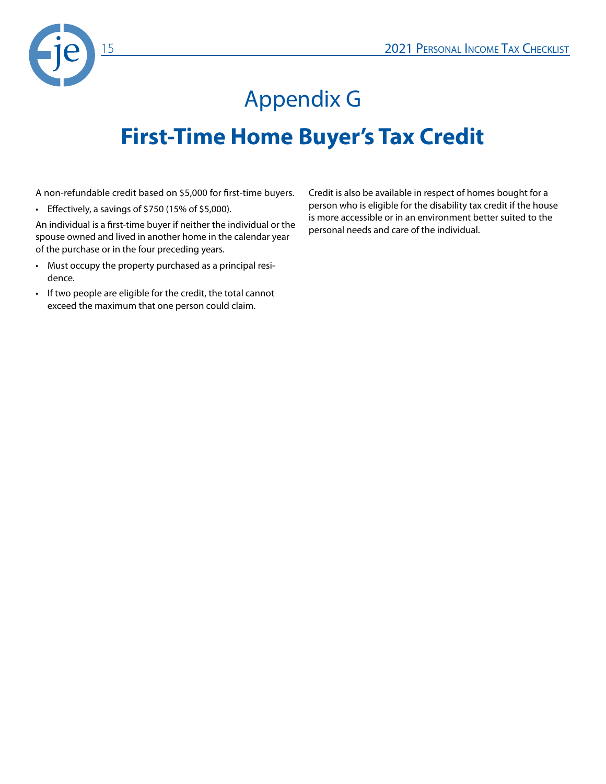

# Appendix G **First-Time Home Buyer's Tax Credit**

A non-refundable credit based on \$5,000 for first-time buyers.

• Effectively, a savings of \$750 (15% of \$5,000).

An individual is a first-time buyer if neither the individual or the spouse owned and lived in another home in the calendar year of the purchase or in the four preceding years.

- Must occupy the property purchased as a principal residence.
- If two people are eligible for the credit, the total cannot exceed the maximum that one person could claim.

Credit is also be available in respect of homes bought for a person who is eligible for the disability tax credit if the house is more accessible or in an environment better suited to the personal needs and care of the individual.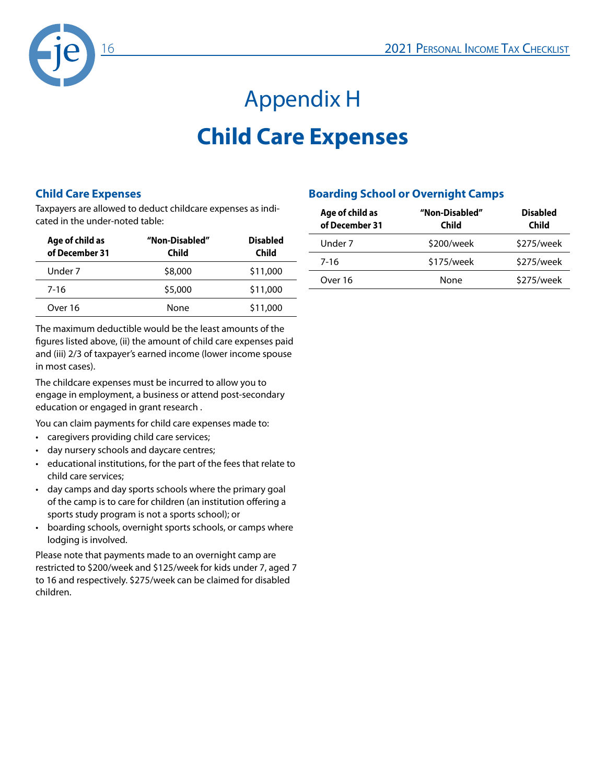

# Appendix H **Child Care Expenses**

#### **Child Care Expenses**

Taxpayers are allowed to deduct childcare expenses as indicated in the under-noted table:

| Age of child as<br>of December 31 | "Non-Disabled"<br>Child | <b>Disabled</b><br>Child |
|-----------------------------------|-------------------------|--------------------------|
| Under 7                           | \$8,000                 | \$11,000                 |
| 7-16                              | \$5,000                 | \$11,000                 |
| Over 16                           | None                    | \$11,000                 |

The maximum deductible would be the least amounts of the figures listed above, (ii) the amount of child care expenses paid and (iii) 2/3 of taxpayer's earned income (lower income spouse in most cases).

The childcare expenses must be incurred to allow you to engage in employment, a business or attend post-secondary education or engaged in grant research .

You can claim payments for child care expenses made to:

- caregivers providing child care services;
- day nursery schools and daycare centres;
- educational institutions, for the part of the fees that relate to child care services;
- day camps and day sports schools where the primary goal of the camp is to care for children (an institution offering a sports study program is not a sports school); or
- boarding schools, overnight sports schools, or camps where lodging is involved.

Please note that payments made to an overnight camp are restricted to \$200/week and \$125/week for kids under 7, aged 7 to 16 and respectively. \$275/week can be claimed for disabled children.

#### **Boarding School or Overnight Camps**

| Age of child as<br>of December 31 | "Non-Disabled"<br>Child | <b>Disabled</b><br>Child |
|-----------------------------------|-------------------------|--------------------------|
| Under 7                           | \$200/week              | \$275/week               |
| 7-16                              | \$175/week              | \$275/week               |
| Over 16                           | None                    | \$275/week               |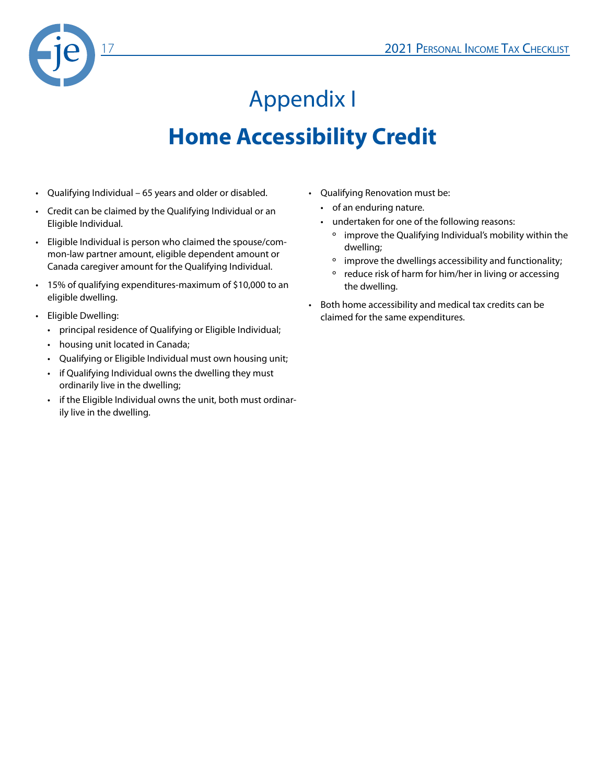

# Appendix I **Home Accessibility Credit**

- Qualifying Individual 65 years and older or disabled.
- Credit can be claimed by the Qualifying Individual or an Eligible Individual.
- Eligible Individual is person who claimed the spouse/common-law partner amount, eligible dependent amount or Canada caregiver amount for the Qualifying Individual.
- 15% of qualifying expenditures-maximum of \$10,000 to an eligible dwelling.
- Eligible Dwelling:
	- principal residence of Qualifying or Eligible Individual;
	- housing unit located in Canada;
	- Qualifying or Eligible Individual must own housing unit;
	- if Qualifying Individual owns the dwelling they must ordinarily live in the dwelling;
	- if the Eligible Individual owns the unit, both must ordinarily live in the dwelling.
- Qualifying Renovation must be:
	- of an enduring nature.
	- undertaken for one of the following reasons:
		- º improve the Qualifying Individual's mobility within the dwelling;
		- º improve the dwellings accessibility and functionality;
		- º reduce risk of harm for him/her in living or accessing the dwelling.
- Both home accessibility and medical tax credits can be claimed for the same expenditures.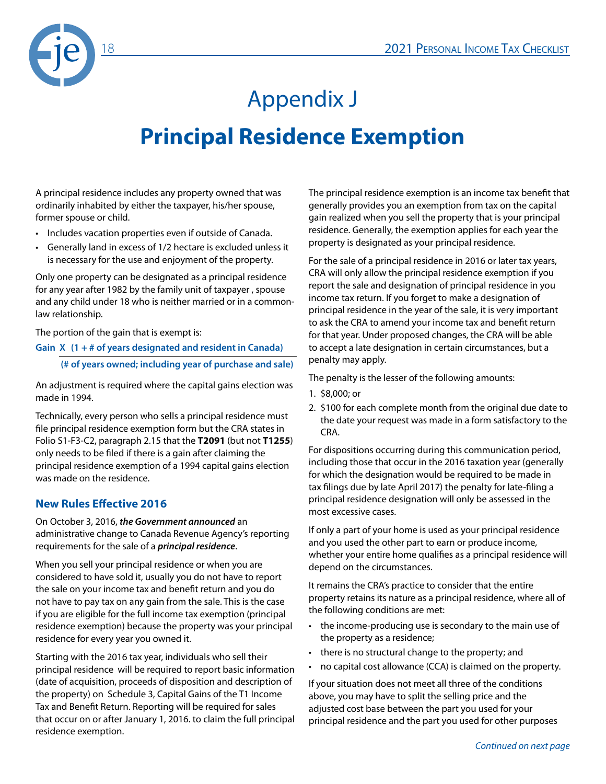

# Appendix J **Principal Residence Exemption**

A principal residence includes any property owned that was ordinarily inhabited by either the taxpayer, his/her spouse, former spouse or child.

- Includes vacation properties even if outside of Canada.
- Generally land in excess of 1/2 hectare is excluded unless it is necessary for the use and enjoyment of the property.

Only one property can be designated as a principal residence for any year after 1982 by the family unit of taxpayer , spouse and any child under 18 who is neither married or in a commonlaw relationship.

The portion of the gain that is exempt is:

**Gain X (1 + # of years designated and resident in Canada)**

**(# of years owned; including year of purchase and sale)**

An adjustment is required where the capital gains election was made in 1994.

Technically, every person who sells a principal residence must file principal residence exemption form but the CRA states in Folio S1-F3-C2, paragraph 2.15 that the **T2091** (but not **T1255**) only needs to be filed if there is a gain after claiming the principal residence exemption of a 1994 capital gains election was made on the residence.

#### **New Rules Effective 2016**

On October 3, 2016, *the Government announced* an administrative change to Canada Revenue Agency's reporting requirements for the sale of a *principal residence*.

When you sell your principal residence or when you are considered to have sold it, usually you do not have to report the sale on your income tax and benefit return and you do not have to pay tax on any gain from the sale. This is the case if you are eligible for the full income tax exemption (principal residence exemption) because the property was your principal residence for every year you owned it.

Starting with the 2016 tax year, individuals who sell their principal residence will be required to report basic information (date of acquisition, proceeds of disposition and description of the property) on Schedule 3, Capital Gains of the T1 Income Tax and Benefit Return. Reporting will be required for sales that occur on or after January 1, 2016. to claim the full principal residence exemption.

The principal residence exemption is an income tax benefit that generally provides you an exemption from tax on the capital gain realized when you sell the property that is your principal residence. Generally, the exemption applies for each year the property is designated as your principal residence.

For the sale of a principal residence in 2016 or later tax years, CRA will only allow the principal residence exemption if you report the sale and designation of principal residence in you income tax return. If you forget to make a designation of principal residence in the year of the sale, it is very important to ask the CRA to amend your income tax and benefit return for that year. Under proposed changes, the CRA will be able to accept a late designation in certain circumstances, but a penalty may apply.

The penalty is the lesser of the following amounts:

- 1. \$8,000; or
- 2. \$100 for each complete month from the original due date to the date your request was made in a form satisfactory to the CRA.

For dispositions occurring during this communication period, including those that occur in the 2016 taxation year (generally for which the designation would be required to be made in tax filings due by late April 2017) the penalty for late-filing a principal residence designation will only be assessed in the most excessive cases.

If only a part of your home is used as your principal residence and you used the other part to earn or produce income, whether your entire home qualifies as a principal residence will depend on the circumstances.

It remains the CRA's practice to consider that the entire property retains its nature as a principal residence, where all of the following conditions are met:

- the income-producing use is secondary to the main use of the property as a residence;
- there is no structural change to the property; and
- no capital cost allowance (CCA) is claimed on the property.

If your situation does not meet all three of the conditions above, you may have to split the selling price and the adjusted cost base between the part you used for your principal residence and the part you used for other purposes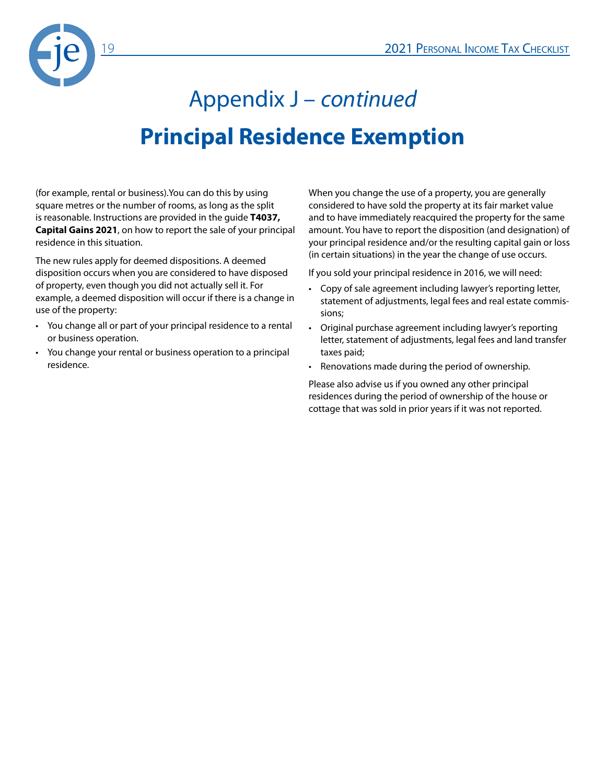

# Appendix J – *continued* **Principal Residence Exemption**

(for example, rental or business).You can do this by using square metres or the number of rooms, as long as the split is reasonable. Instructions are provided in the guide **T4037, Capital Gains 2021**, on how to report the sale of your principal residence in this situation.

The new rules apply for deemed dispositions. A deemed disposition occurs when you are considered to have disposed of property, even though you did not actually sell it. For example, a deemed disposition will occur if there is a change in use of the property:

- You change all or part of your principal residence to a rental or business operation.
- You change your rental or business operation to a principal residence.

When you change the use of a property, you are generally considered to have sold the property at its fair market value and to have immediately reacquired the property for the same amount. You have to report the disposition (and designation) of your principal residence and/or the resulting capital gain or loss (in certain situations) in the year the change of use occurs.

If you sold your principal residence in 2016, we will need:

- Copy of sale agreement including lawyer's reporting letter, statement of adjustments, legal fees and real estate commissions;
- Original purchase agreement including lawyer's reporting letter, statement of adjustments, legal fees and land transfer taxes paid;
- Renovations made during the period of ownership.

Please also advise us if you owned any other principal residences during the period of ownership of the house or cottage that was sold in prior years if it was not reported.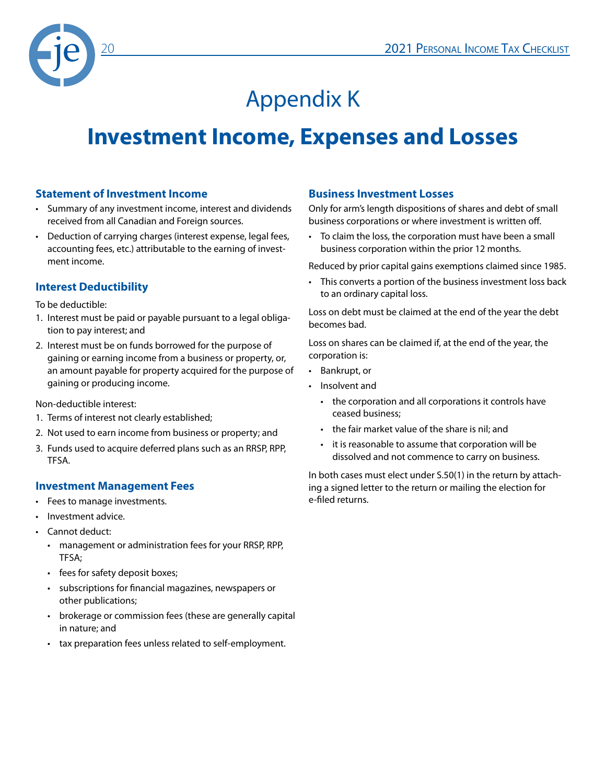

## Appendix K

### **Investment Income, Expenses and Losses**

#### **Statement of Investment Income**

- Summary of any investment income, interest and dividends received from all Canadian and Foreign sources.
- Deduction of carrying charges (interest expense, legal fees, accounting fees, etc.) attributable to the earning of investment income.

#### **Interest Deductibility**

To be deductible:

- 1. Interest must be paid or payable pursuant to a legal obligation to pay interest; and
- 2. Interest must be on funds borrowed for the purpose of gaining or earning income from a business or property, or, an amount payable for property acquired for the purpose of gaining or producing income.

Non-deductible interest:

- 1. Terms of interest not clearly established;
- 2. Not used to earn income from business or property; and
- 3. Funds used to acquire deferred plans such as an RRSP, RPP, TFSA.

#### **Investment Management Fees**

- Fees to manage investments.
- Investment advice.
- Cannot deduct:
	- management or administration fees for your RRSP, RPP, TFSA;
	- fees for safety deposit boxes;
	- subscriptions for financial magazines, newspapers or other publications;
	- brokerage or commission fees (these are generally capital in nature; and
	- tax preparation fees unless related to self-employment.

#### **Business Investment Losses**

Only for arm's length dispositions of shares and debt of small business corporations or where investment is written off.

• To claim the loss, the corporation must have been a small business corporation within the prior 12 months.

Reduced by prior capital gains exemptions claimed since 1985.

• This converts a portion of the business investment loss back to an ordinary capital loss.

Loss on debt must be claimed at the end of the year the debt becomes bad.

Loss on shares can be claimed if, at the end of the year, the corporation is:

- Bankrupt, or
- Insolvent and
	- the corporation and all corporations it controls have ceased business;
	- the fair market value of the share is nil; and
	- it is reasonable to assume that corporation will be dissolved and not commence to carry on business.

In both cases must elect under S.50(1) in the return by attaching a signed letter to the return or mailing the election for e-filed returns.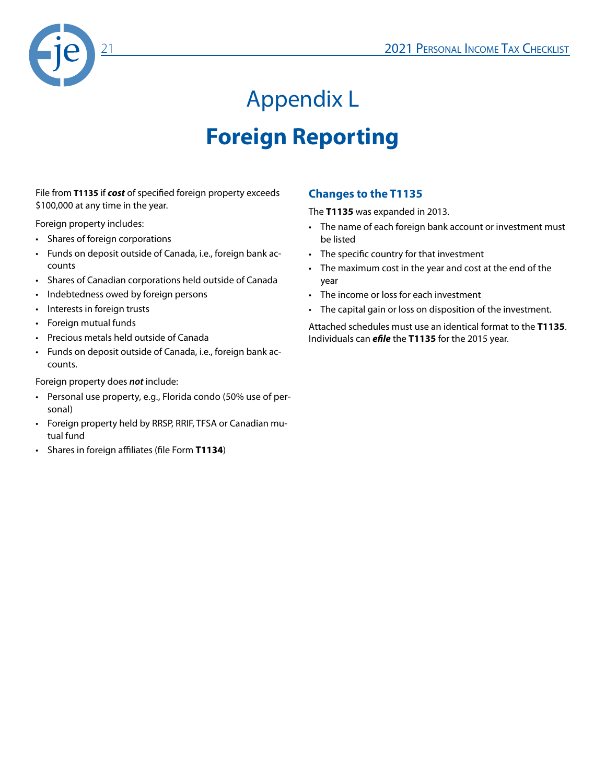

# Appendix L **Foreign Reporting**

File from **T1135** if *cost* of specified foreign property exceeds \$100,000 at any time in the year.

Foreign property includes:

- Shares of foreign corporations
- Funds on deposit outside of Canada, i.e., foreign bank accounts
- Shares of Canadian corporations held outside of Canada
- Indebtedness owed by foreign persons
- Interests in foreign trusts
- Foreign mutual funds
- Precious metals held outside of Canada
- Funds on deposit outside of Canada, i.e., foreign bank accounts.

Foreign property does *not* include:

- Personal use property, e.g., Florida condo (50% use of personal)
- Foreign property held by RRSP, RRIF, TFSA or Canadian mutual fund
- Shares in foreign affiliates (file Form **T1134**)

#### **Changes to the T1135**

The **T1135** was expanded in 2013.

- The name of each foreign bank account or investment must be listed
- The specific country for that investment
- The maximum cost in the year and cost at the end of the year
- The income or loss for each investment
- The capital gain or loss on disposition of the investment.

Attached schedules must use an identical format to the **T1135**. Individuals can *efile* the **T1135** for the 2015 year.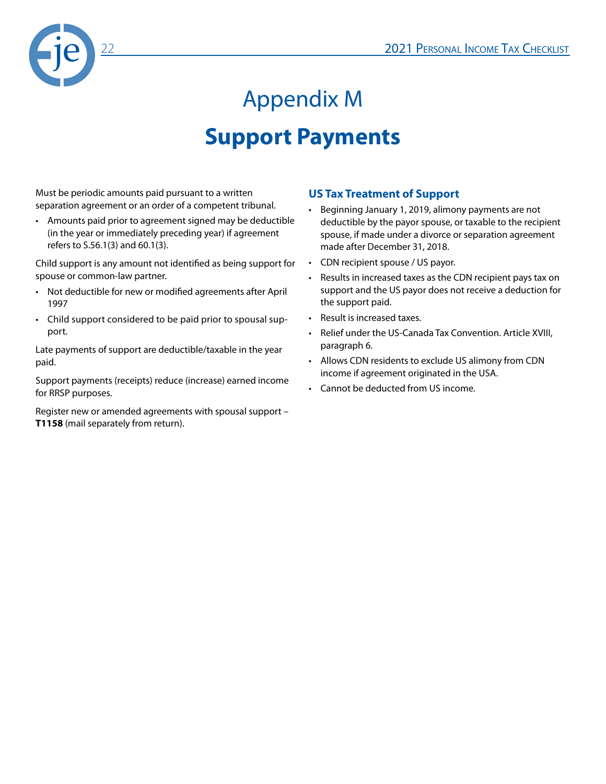

# Appendix M **Support Payments**

Must be periodic amounts paid pursuant to a written separation agreement or an order of a competent tribunal.

• Amounts paid prior to agreement signed may be deductible (in the year or immediately preceding year) if agreement refers to S.56.1(3) and 60.1(3).

Child support is any amount not identified as being support for spouse or common-law partner.

- Not deductible for new or modified agreements after April 1997
- Child support considered to be paid prior to spousal support.

Late payments of support are deductible/taxable in the year paid.

Support payments (receipts) reduce (increase) earned income for RRSP purposes.

Register new or amended agreements with spousal support – **T1158** (mail separately from return).

#### **US Tax Treatment of Support**

- Beginning January 1, 2019, alimony payments are not deductible by the payor spouse, or taxable to the recipient spouse, if made under a divorce or separation agreement made after December 31, 2018.
- CDN recipient spouse / US payor.
- Results in increased taxes as the CDN recipient pays tax on support and the US payor does not receive a deduction for the support paid.
- Result is increased taxes.
- Relief under the US-Canada Tax Convention. Article XVIII, paragraph 6.
- Allows CDN residents to exclude US alimony from CDN income if agreement originated in the USA.
- Cannot be deducted from US income.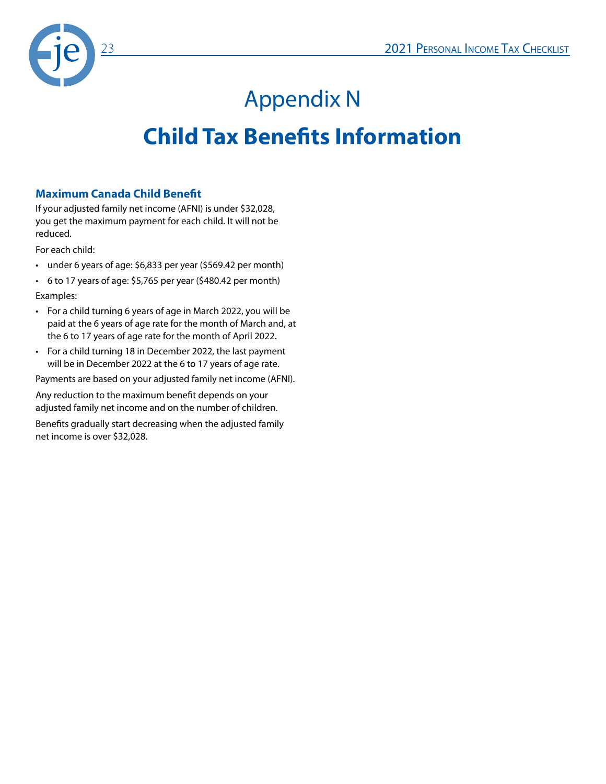

# Appendix N

### **Child Tax Benefits Information**

#### **Maximum Canada Child Benefit**

If your adjusted family net income (AFNI) is under \$32,028, you get the maximum payment for each child. It will not be reduced.

For each child:

- under 6 years of age: \$6,833 per year (\$569.42 per month)
- 6 to 17 years of age: \$5,765 per year (\$480.42 per month)
- Examples:
- For a child turning 6 years of age in March 2022, you will be paid at the 6 years of age rate for the month of March and, at the 6 to 17 years of age rate for the month of April 2022.
- For a child turning 18 in December 2022, the last payment will be in December 2022 at the 6 to 17 years of age rate.

Payments are based on your adjusted family net income (AFNI).

Any reduction to the maximum benefit depends on your adjusted family net income and on the number of children.

Benefits gradually start decreasing when the adjusted family net income is over \$32,028.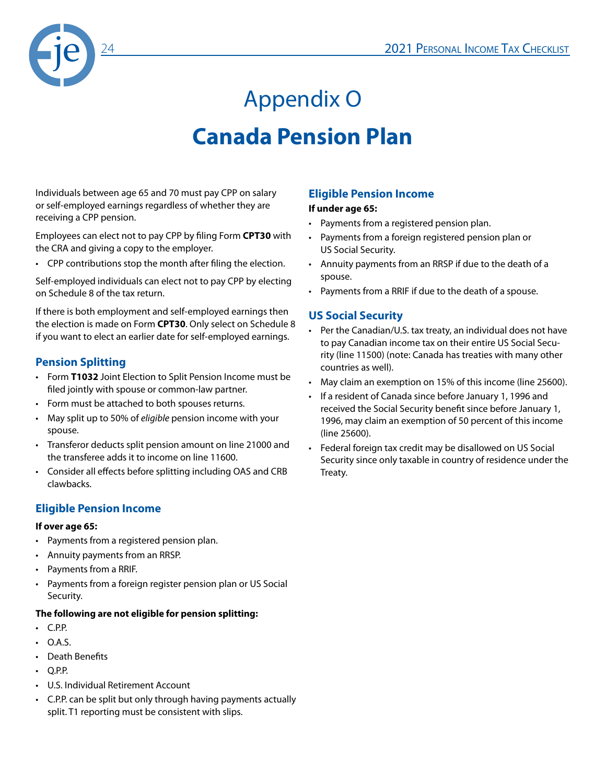

# Appendix O **Canada Pension Plan**

Individuals between age 65 and 70 must pay CPP on salary or self-employed earnings regardless of whether they are receiving a CPP pension.

Employees can elect not to pay CPP by filing Form **CPT30** with the CRA and giving a copy to the employer.

• CPP contributions stop the month after filing the election.

Self-employed individuals can elect not to pay CPP by electing on Schedule 8 of the tax return.

If there is both employment and self-employed earnings then the election is made on Form **CPT30**. Only select on Schedule 8 if you want to elect an earlier date for self-employed earnings.

#### **Pension Splitting**

- Form **T1032** Joint Election to Split Pension Income must be filed jointly with spouse or common-law partner.
- Form must be attached to both spouses returns.
- May split up to 50% of *eligible* pension income with your spouse.
- Transferor deducts split pension amount on line 21000 and the transferee adds it to income on line 11600.
- Consider all effects before splitting including OAS and CRB clawbacks.

#### **Eligible Pension Income**

#### **If over age 65:**

- Payments from a registered pension plan.
- Annuity payments from an RRSP.
- Payments from a RRIF.
- Payments from a foreign register pension plan or US Social Security.

#### **The following are not eligible for pension splitting:**

- C.P.P.
- $\cdot$  OAS
- Death Benefits
- Q.P.P.
- U.S. Individual Retirement Account
- C.P.P. can be split but only through having payments actually split. T1 reporting must be consistent with slips.

#### **Eligible Pension Income**

#### **If under age 65:**

- Payments from a registered pension plan.
- Payments from a foreign registered pension plan or US Social Security.
- Annuity payments from an RRSP if due to the death of a spouse.
- Payments from a RRIF if due to the death of a spouse.

#### **US Social Security**

- Per the Canadian/U.S. tax treaty, an individual does not have to pay Canadian income tax on their entire US Social Security (line 11500) (note: Canada has treaties with many other countries as well).
- May claim an exemption on 15% of this income (line 25600).
- If a resident of Canada since before January 1, 1996 and received the Social Security benefit since before January 1, 1996, may claim an exemption of 50 percent of this income (line 25600).
- Federal foreign tax credit may be disallowed on US Social Security since only taxable in country of residence under the Treaty.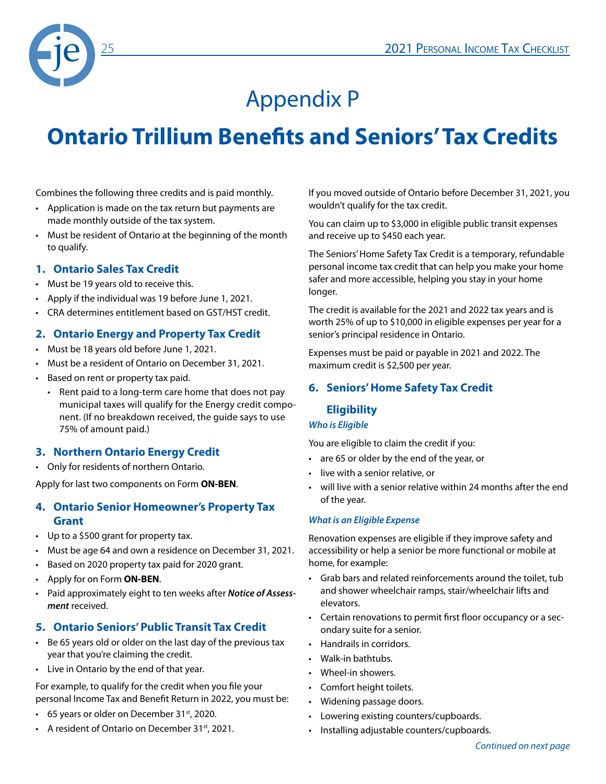

### Appendix P

### **Ontario Trillium Benefits and Seniors' Tax Credits**

Combines the following three credits and is paid monthly.

- Application is made on the tax return but payments are made monthly outside of the tax system.
- Must be resident of Ontario at the beginning of the month to qualify.

#### **1. Ontario Sales Tax Credit**

- Must be 19 years old to receive this.
- Apply if the individual was 19 before June 1, 2021.
- CRA determines entitlement based on GST/HST credit.

#### **2. Ontario Energy and Property Tax Credit**

- Must be 18 years old before June 1, 2021.
- Must be a resident of Ontario on December 31, 2021.
- Based on rent or property tax paid.
	- Rent paid to a long-term care home that does not pay municipal taxes will qualify for the Energy credit component. (If no breakdown received, the guide says to use 75% of amount paid.)

#### **3. Northern Ontario Energy Credit**

• Only for residents of northern Ontario.

Apply for last two components on Form **ON-BEN**.

#### **4. Ontario Senior Homeowner's Property Tax Grant**

- Up to a \$500 grant for property tax.
- Must be age 64 and own a residence on December 31, 2021.
- Based on 2020 property tax paid for 2020 grant.
- Apply for on Form **ON-BEN**.
- Paid approximately eight to ten weeks after *Notice of Assessment* received.

#### **5. Ontario Seniors' Public Transit Tax Credit**

- Be 65 years old or older on the last day of the previous tax year that you're claiming the credit.
- Live in Ontario by the end of that year.

For example, to qualify for the credit when you file your personal Income Tax and Benefit Return in 2022, you must be:

- 65 years or older on December 31<sup>st</sup>, 2020.
- A resident of Ontario on December 31<sup>st</sup>, 2021.

If you moved outside of Ontario before December 31, 2021, you wouldn't qualify for the tax credit.

You can claim up to \$3,000 in eligible public transit expenses and receive up to \$450 each year.

The Seniors' Home Safety Tax Credit is a temporary, refundable personal income tax credit that can help you make your home safer and more accessible, helping you stay in your home longer.

The credit is available for the 2021 and 2022 tax years and is worth 25% of up to \$10,000 in eligible expenses per year for a senior's principal residence in Ontario.

Expenses must be paid or payable in 2021 and 2022. The maximum credit is \$2,500 per year.

#### **6. Seniors' Home Safety Tax Credit**

#### **Eligibility**

#### *Who is Eligible*

You are eligible to claim the credit if you:

- are 65 or older by the end of the year, or
- live with a senior relative, or
- will live with a senior relative within 24 months after the end of the year.

#### *What is an Eligible Expense*

Renovation expenses are eligible if they improve safety and accessibility or help a senior be more functional or mobile at home, for example:

- Grab bars and related reinforcements around the toilet, tub and shower wheelchair ramps, stair/wheelchair lifts and elevators.
- Certain renovations to permit first floor occupancy or a secondary suite for a senior.
- Handrails in corridors.
- Walk-in bathtubs.
- Wheel-in showers.
- Comfort height toilets.
- Widening passage doors.
- Lowering existing counters/cupboards.
- Installing adjustable counters/cupboards.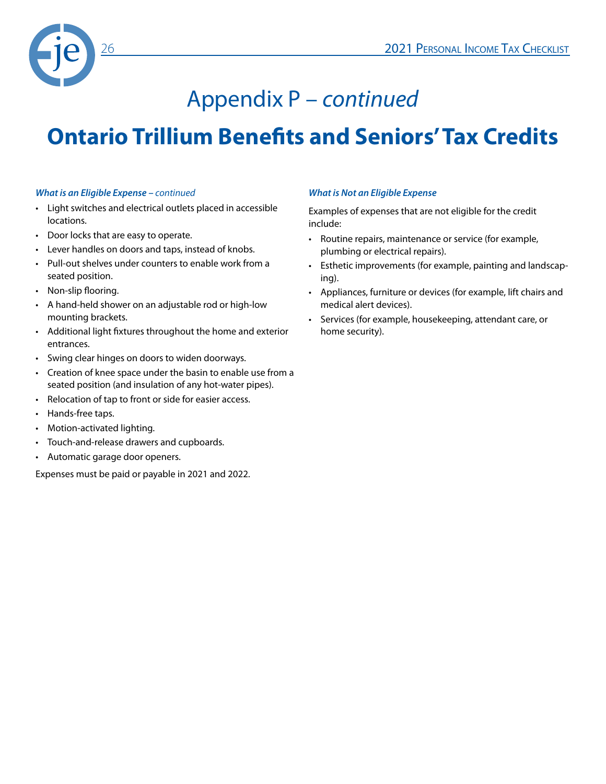

### Appendix P – *continued*

### **Ontario Trillium Benefits and Seniors' Tax Credits**

#### *What is an Eligible Expense – continued*

- Light switches and electrical outlets placed in accessible locations.
- Door locks that are easy to operate.
- Lever handles on doors and taps, instead of knobs.
- Pull-out shelves under counters to enable work from a seated position.
- Non-slip flooring.
- A hand-held shower on an adjustable rod or high-low mounting brackets.
- Additional light fixtures throughout the home and exterior entrances.
- Swing clear hinges on doors to widen doorways.
- Creation of knee space under the basin to enable use from a seated position (and insulation of any hot-water pipes).
- Relocation of tap to front or side for easier access.
- Hands-free taps.
- Motion-activated lighting.
- Touch-and-release drawers and cupboards.
- Automatic garage door openers.

Expenses must be paid or payable in 2021 and 2022.

#### *What is Not an Eligible Expense*

Examples of expenses that are not eligible for the credit include:

- Routine repairs, maintenance or service (for example, plumbing or electrical repairs).
- Esthetic improvements (for example, painting and landscaping).
- Appliances, furniture or devices (for example, lift chairs and medical alert devices).
- Services (for example, housekeeping, attendant care, or home security).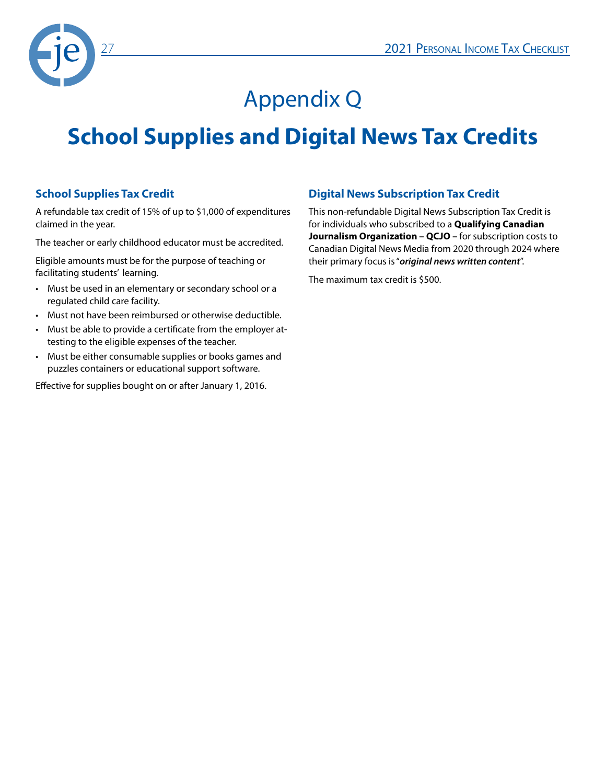

### Appendix Q

### **School Supplies and Digital News Tax Credits**

#### **School Supplies Tax Credit**

A refundable tax credit of 15% of up to \$1,000 of expenditures claimed in the year.

The teacher or early childhood educator must be accredited.

Eligible amounts must be for the purpose of teaching or facilitating students' learning.

- Must be used in an elementary or secondary school or a regulated child care facility.
- Must not have been reimbursed or otherwise deductible.
- Must be able to provide a certificate from the employer attesting to the eligible expenses of the teacher.
- Must be either consumable supplies or books games and puzzles containers or educational support software.

Effective for supplies bought on or after January 1, 2016.

#### **Digital News Subscription Tax Credit**

This non-refundable Digital News Subscription Tax Credit is for individuals who subscribed to a **Qualifying Canadian Journalism Organization – QCJO –** for subscription costs to Canadian Digital News Media from 2020 through 2024 where their primary focus is "*original news written content*".

The maximum tax credit is \$500.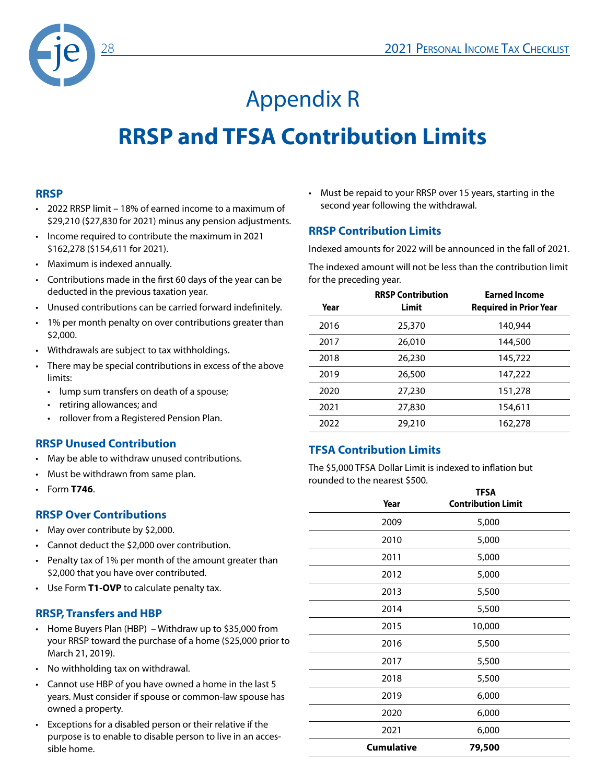

# Appendix R **RRSP and TFSA Contribution Limits**

#### **RRSP**

- 2022 RRSP limit 18% of earned income to a maximum of \$29,210 (\$27,830 for 2021) minus any pension adjustments.
- Income required to contribute the maximum in 2021 \$162,278 (\$154,611 for 2021).
- Maximum is indexed annually.
- Contributions made in the first 60 days of the year can be deducted in the previous taxation year.
- Unused contributions can be carried forward indefinitely.
- 1% per month penalty on over contributions greater than \$2,000.
- Withdrawals are subject to tax withholdings.
- There may be special contributions in excess of the above limits:
	- lump sum transfers on death of a spouse;
	- retiring allowances; and
	- rollover from a Registered Pension Plan.

#### **RRSP Unused Contribution**

- May be able to withdraw unused contributions.
- Must be withdrawn from same plan.
- Form **T746**.

#### **RRSP Over Contributions**

- May over contribute by \$2,000.
- Cannot deduct the \$2,000 over contribution.
- Penalty tax of 1% per month of the amount greater than \$2,000 that you have over contributed.
- Use Form **T1-OVP** to calculate penalty tax.

#### **RRSP, Transfers and HBP**

- Home Buyers Plan (HBP) Withdraw up to \$35,000 from your RRSP toward the purchase of a home (\$25,000 prior to March 21, 2019).
- No withholding tax on withdrawal.
- Cannot use HBP of you have owned a home in the last 5 years. Must consider if spouse or common-law spouse has owned a property.
- Exceptions for a disabled person or their relative if the purpose is to enable to disable person to live in an accessible home.

• Must be repaid to your RRSP over 15 years, starting in the second year following the withdrawal.

#### **RRSP Contribution Limits**

Indexed amounts for 2022 will be announced in the fall of 2021.

The indexed amount will not be less than the contribution limit for the preceding year.

| Year | <b>RRSP Contribution</b><br>Limit | <b>Earned Income</b><br><b>Required in Prior Year</b> |
|------|-----------------------------------|-------------------------------------------------------|
| 2016 | 25,370                            | 140,944                                               |
| 2017 | 26,010                            | 144,500                                               |
| 2018 | 26,230                            | 145,722                                               |
| 2019 | 26,500                            | 147,222                                               |
| 2020 | 27,230                            | 151,278                                               |
| 2021 | 27,830                            | 154,611                                               |
| 2022 | 29,210                            | 162,278                                               |
|      |                                   |                                                       |

#### **TFSA Contribution Limits**

The \$5,000 TFSA Dollar Limit is indexed to inflation but rounded to the nearest \$500.

| Year              | <b>TFSA</b><br><b>Contribution Limit</b> |
|-------------------|------------------------------------------|
| 2009              | 5,000                                    |
| 2010              | 5,000                                    |
| 2011              | 5,000                                    |
| 2012              | 5,000                                    |
| 2013              | 5,500                                    |
| 2014              | 5,500                                    |
| 2015              | 10,000                                   |
| 2016              | 5,500                                    |
| 2017              | 5,500                                    |
| 2018              | 5,500                                    |
| 2019              | 6,000                                    |
| 2020              | 6,000                                    |
| 2021              | 6,000                                    |
| <b>Cumulative</b> | 79,500                                   |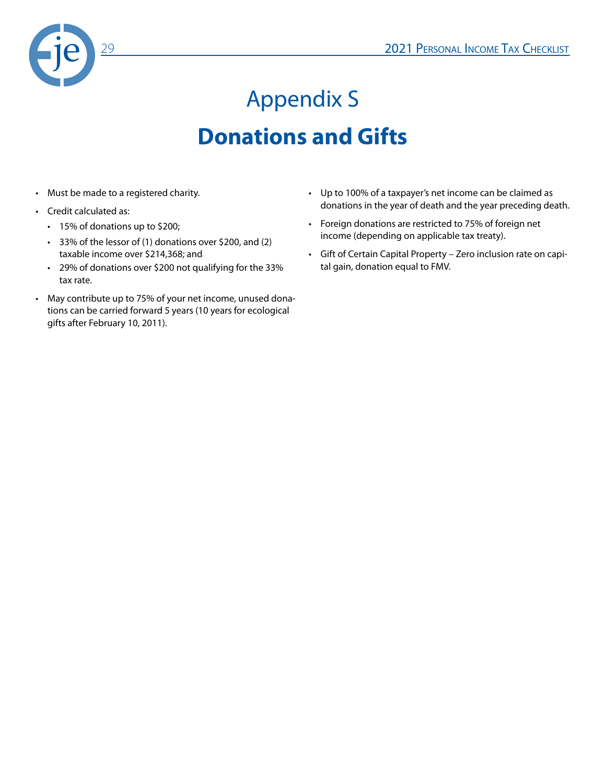

# Appendix S **Donations and Gifts**

- Must be made to a registered charity.
- Credit calculated as:
	- 15% of donations up to \$200;
	- 33% of the lessor of (1) donations over \$200, and (2) taxable income over \$214,368; and
	- 29% of donations over \$200 not qualifying for the 33% tax rate.
- May contribute up to 75% of your net income, unused donations can be carried forward 5 years (10 years for ecological gifts after February 10, 2011).
- Up to 100% of a taxpayer's net income can be claimed as donations in the year of death and the year preceding death.
- Foreign donations are restricted to 75% of foreign net income (depending on applicable tax treaty).
- Gift of Certain Capital Property Zero inclusion rate on capital gain, donation equal to FMV.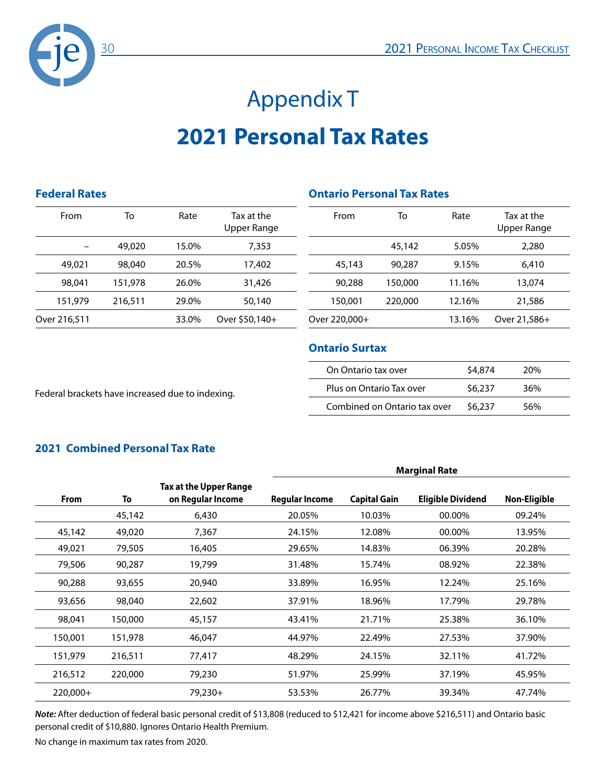

# Appendix T **2021 Personal Tax Rates**

#### **Federal Rates**

| From         | То      | Rate  | Tax at the<br>Upper Range |
|--------------|---------|-------|---------------------------|
|              | 49,020  | 15.0% | 7,353                     |
| 49,021       | 98,040  | 20.5% | 17,402                    |
| 98,041       | 151,978 | 26.0% | 31,426                    |
| 151,979      | 216,511 | 29.0% | 50,140                    |
| Over 216,511 |         | 33.0% | Over \$50,140+            |
|              |         |       |                           |

### **Ontario Personal Tax Rates**

| From          | То      | Rate   | Tax at the<br>Upper Range |
|---------------|---------|--------|---------------------------|
|               | 45,142  | 5.05%  | 2,280                     |
| 45,143        | 90,287  | 9.15%  | 6,410                     |
| 90,288        | 150,000 | 11.16% | 13,074                    |
| 150,001       | 220,000 | 12.16% | 21,586                    |
| Over 220,000+ |         | 13.16% | Over 21,586+              |

#### **Ontario Surtax**

| On Ontario tax over          | \$4,874 | 20%  |
|------------------------------|---------|------|
| Plus on Ontario Tax over     | \$6.237 | 36%  |
| Combined on Ontario tax over | \$6.237 | .56% |

Federal brackets have increased due to indexing.

#### **2021 Combined Personal Tax Rate**

|             |         |                                             | <b>Marginal Rate</b> |                     |                          |              |
|-------------|---------|---------------------------------------------|----------------------|---------------------|--------------------------|--------------|
| <b>From</b> | To      | Tax at the Upper Range<br>on Regular Income | Regular Income       | <b>Capital Gain</b> | <b>Eligible Dividend</b> | Non-Eligible |
|             | 45,142  | 6,430                                       | 20.05%               | 10.03%              | 00.00%                   | 09.24%       |
| 45,142      | 49,020  | 7,367                                       | 24.15%               | 12.08%              | 00.00%                   | 13.95%       |
| 49,021      | 79,505  | 16,405                                      | 29.65%               | 14.83%              | 06.39%                   | 20.28%       |
| 79,506      | 90,287  | 19,799                                      | 31.48%               | 15.74%              | 08.92%                   | 22.38%       |
| 90,288      | 93,655  | 20,940                                      | 33.89%               | 16.95%              | 12.24%                   | 25.16%       |
| 93,656      | 98,040  | 22,602                                      | 37.91%               | 18.96%              | 17.79%                   | 29.78%       |
| 98,041      | 150,000 | 45,157                                      | 43.41%               | 21.71%              | 25.38%                   | 36.10%       |
| 150,001     | 151,978 | 46,047                                      | 44.97%               | 22.49%              | 27.53%                   | 37.90%       |
| 151,979     | 216,511 | 77,417                                      | 48.29%               | 24.15%              | 32.11%                   | 41.72%       |
| 216,512     | 220,000 | 79,230                                      | 51.97%               | 25.99%              | 37.19%                   | 45.95%       |
| 220,000+    |         | 79,230+                                     | 53.53%               | 26.77%              | 39.34%                   | 47.74%       |

*Note:* After deduction of federal basic personal credit of \$13,808 (reduced to \$12,421 for income above \$216,511) and Ontario basic personal credit of \$10,880. Ignores Ontario Health Premium.

No change in maximum tax rates from 2020.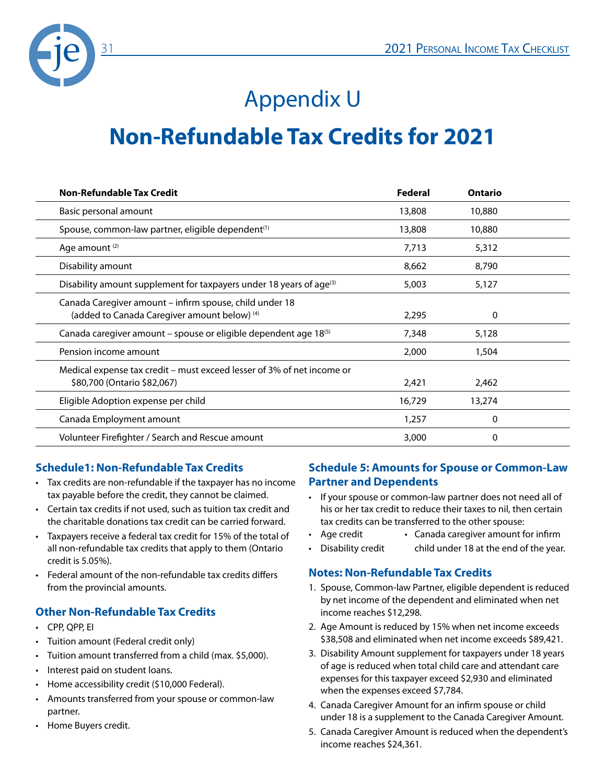

### Appendix U

### **Non-Refundable Tax Credits for 2021**

| <b>Non-Refundable Tax Credit</b>                                                                        | Federal | <b>Ontario</b> |  |
|---------------------------------------------------------------------------------------------------------|---------|----------------|--|
| Basic personal amount                                                                                   | 13,808  | 10,880         |  |
| Spouse, common-law partner, eligible dependent <sup>(1)</sup>                                           | 13,808  | 10,880         |  |
| Age amount <sup>(2)</sup>                                                                               | 7,713   | 5,312          |  |
| Disability amount                                                                                       | 8,662   | 8,790          |  |
| Disability amount supplement for taxpayers under 18 years of age <sup>(3)</sup>                         | 5,003   | 5,127          |  |
| Canada Caregiver amount – infirm spouse, child under 18<br>(added to Canada Caregiver amount below) (4) | 2,295   | 0              |  |
| Canada caregiver amount – spouse or eligible dependent age 18 <sup>(5)</sup>                            | 7,348   | 5,128          |  |
| Pension income amount                                                                                   | 2,000   | 1,504          |  |
| Medical expense tax credit – must exceed lesser of 3% of net income or<br>\$80,700 (Ontario \$82,067)   | 2,421   | 2,462          |  |
| Eligible Adoption expense per child                                                                     | 16,729  | 13,274         |  |
| Canada Employment amount                                                                                | 1,257   | 0              |  |
| Volunteer Firefighter / Search and Rescue amount                                                        | 3,000   | 0              |  |

#### **Schedule1: Non-Refundable Tax Credits**

- Tax credits are non-refundable if the taxpayer has no income tax payable before the credit, they cannot be claimed.
- Certain tax credits if not used, such as tuition tax credit and the charitable donations tax credit can be carried forward.
- Taxpayers receive a federal tax credit for 15% of the total of all non-refundable tax credits that apply to them (Ontario credit is 5.05%).
- Federal amount of the non-refundable tax credits differs from the provincial amounts.

#### **Other Non-Refundable Tax Credits**

- CPP, QPP, EI
- Tuition amount (Federal credit only)
- Tuition amount transferred from a child (max. \$5,000).
- Interest paid on student loans.
- Home accessibility credit (\$10,000 Federal).
- Amounts transferred from your spouse or common-law partner.
- Home Buyers credit.

#### **Schedule 5: Amounts for Spouse or Common-Law Partner and Dependents**

- If your spouse or common-law partner does not need all of his or her tax credit to reduce their taxes to nil, then certain tax credits can be transferred to the other spouse:
- Age credit Canada caregiver amount for infirm
- Disability credit child under 18 at the end of the year.

#### **Notes: Non-Refundable Tax Credits**

- 1. Spouse, Common-law Partner, eligible dependent is reduced by net income of the dependent and eliminated when net income reaches \$12,298.
- 2. Age Amount is reduced by 15% when net income exceeds \$38,508 and eliminated when net income exceeds \$89,421.
- 3. Disability Amount supplement for taxpayers under 18 years of age is reduced when total child care and attendant care expenses for this taxpayer exceed \$2,930 and eliminated when the expenses exceed \$7,784.
- 4. Canada Caregiver Amount for an infirm spouse or child under 18 is a supplement to the Canada Caregiver Amount.
- 5. Canada Caregiver Amount is reduced when the dependent's income reaches \$24,361.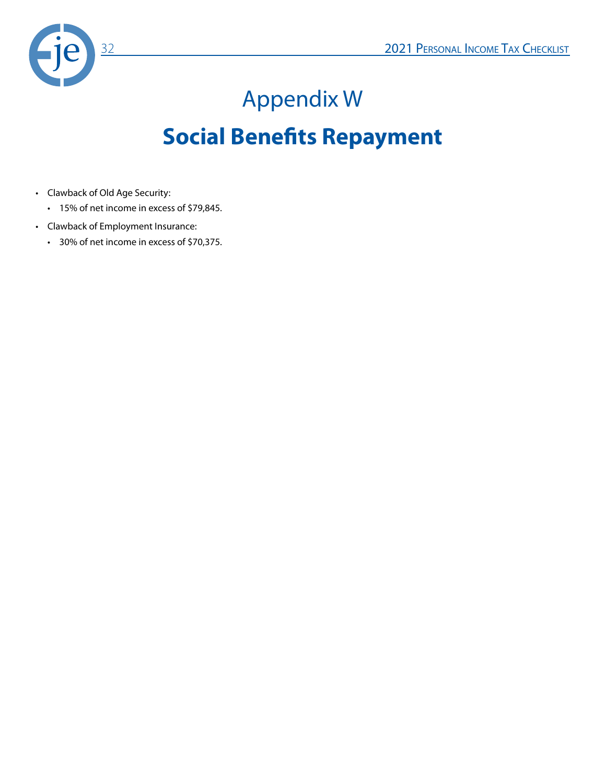

# Appendix W **Social Benefits Repayment**

- Clawback of Old Age Security:
	- 15% of net income in excess of \$79,845.
- Clawback of Employment Insurance:
	- 30% of net income in excess of \$70,375.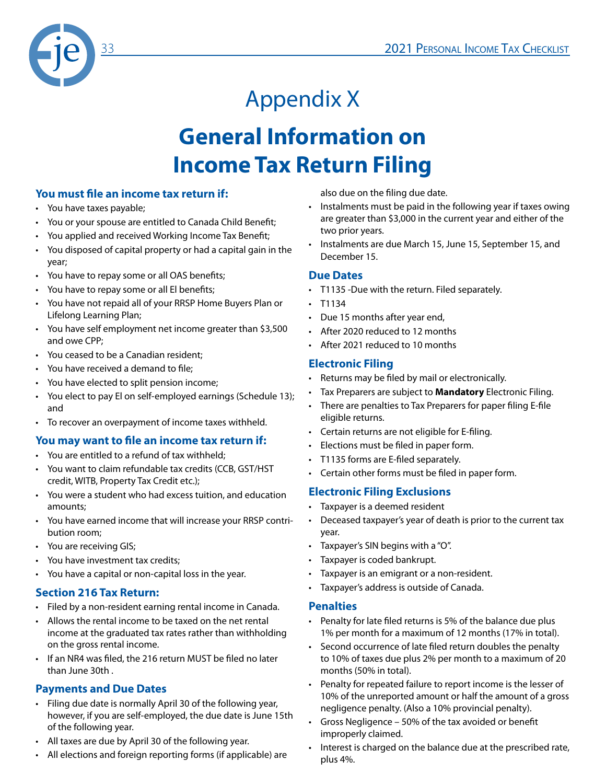

# Appendix X **General Information on Income Tax Return Filing**

#### **You must file an income tax return if:**

- You have taxes payable;
- You or your spouse are entitled to Canada Child Benefit;
- You applied and received Working Income Tax Benefit;
- You disposed of capital property or had a capital gain in the year;
- You have to repay some or all OAS benefits;
- You have to repay some or all El benefits;
- You have not repaid all of your RRSP Home Buyers Plan or Lifelong Learning Plan;
- You have self employment net income greater than \$3,500 and owe CPP;
- You ceased to be a Canadian resident;
- You have received a demand to file;
- You have elected to split pension income;
- You elect to pay El on self-employed earnings (Schedule 13); and
- To recover an overpayment of income taxes withheld.

#### **You may want to file an income tax return if:**

- You are entitled to a refund of tax withheld;
- You want to claim refundable tax credits (CCB, GST/HST credit, WITB, Property Tax Credit etc.);
- You were a student who had excess tuition, and education amounts;
- You have earned income that will increase your RRSP contribution room;
- You are receiving GIS;
- You have investment tax credits;
- You have a capital or non-capital loss in the year.

#### **Section 216 Tax Return:**

- Filed by a non-resident earning rental income in Canada.
- Allows the rental income to be taxed on the net rental income at the graduated tax rates rather than withholding on the gross rental income.
- If an NR4 was filed, the 216 return MUST be filed no later than June 30th .

#### **Payments and Due Dates**

- Filing due date is normally April 30 of the following year, however, if you are self-employed, the due date is June 15th of the following year.
- All taxes are due by April 30 of the following year.
- All elections and foreign reporting forms (if applicable) are

also due on the filing due date.

- Instalments must be paid in the following year if taxes owing are greater than \$3,000 in the current year and either of the two prior years.
- Instalments are due March 15, June 15, September 15, and December 15.

#### **Due Dates**

- T1135 -Due with the return. Filed separately.
- T1134
- Due 15 months after year end,
- After 2020 reduced to 12 months
- After 2021 reduced to 10 months

#### **Electronic Filing**

- Returns may be filed by mail or electronically.
- Tax Preparers are subject to **Mandatory** Electronic Filing.
- There are penalties to Tax Preparers for paper filing E-file eligible returns.
- Certain returns are not eligible for E-filing.
- Elections must be filed in paper form.
- T1135 forms are E-filed separately.
- Certain other forms must be filed in paper form.

#### **Electronic Filing Exclusions**

- Taxpayer is a deemed resident
- Deceased taxpayer's year of death is prior to the current tax year.
- Taxpayer's SIN begins with a "O".
- Taxpayer is coded bankrupt.
- Taxpayer is an emigrant or a non-resident.
- Taxpayer's address is outside of Canada.

#### **Penalties**

- Penalty for late filed returns is 5% of the balance due plus 1% per month for a maximum of 12 months (17% in total).
- Second occurrence of late filed return doubles the penalty to 10% of taxes due plus 2% per month to a maximum of 20 months (50% in total).
- Penalty for repeated failure to report income is the lesser of 10% of the unreported amount or half the amount of a gross negligence penalty. (Also a 10% provincial penalty).
- Gross Negligence 50% of the tax avoided or benefit improperly claimed.
- Interest is charged on the balance due at the prescribed rate, plus 4%.